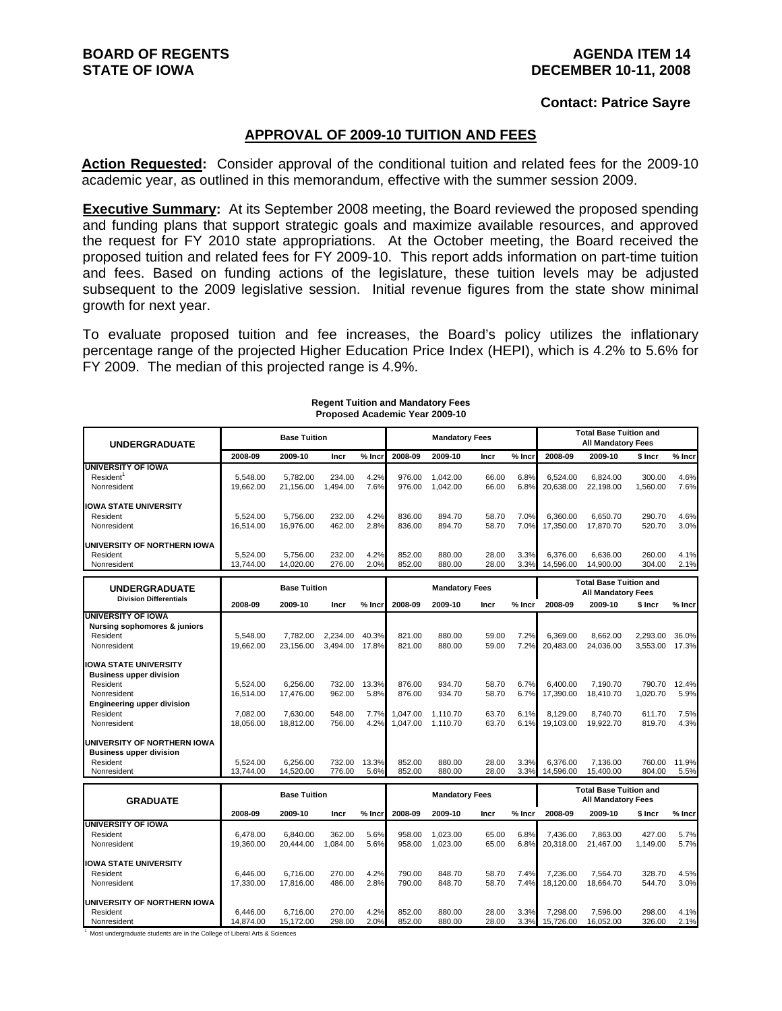#### **Contact: Patrice Sayre**

#### **APPROVAL OF 2009-10 TUITION AND FEES**

**Action Requested:** Consider approval of the conditional tuition and related fees for the 2009-10 academic year, as outlined in this memorandum, effective with the summer session 2009.

**Executive Summary:** At its September 2008 meeting, the Board reviewed the proposed spending and funding plans that support strategic goals and maximize available resources, and approved the request for FY 2010 state appropriations. At the October meeting, the Board received the proposed tuition and related fees for FY 2009-10. This report adds information on part-time tuition and fees. Based on funding actions of the legislature, these tuition levels may be adjusted subsequent to the 2009 legislative session. Initial revenue figures from the state show minimal growth for next year.

To evaluate proposed tuition and fee increases, the Board's policy utilizes the inflationary percentage range of the projected Higher Education Price Index (HEPI), which is 4.2% to 5.6% for FY 2009. The median of this projected range is 4.9%.

| <b>UNDERGRADUATE</b>                                                                                                                                      |                                                                                                   | <b>Base Tuition</b>                            |                                      |                               |                                          | <b>Mandatory Fees</b>                    |                                  |                              |                                                | <b>Total Base Tuition and</b><br><b>All Mandatory Fees</b> |                                        |                               |
|-----------------------------------------------------------------------------------------------------------------------------------------------------------|---------------------------------------------------------------------------------------------------|------------------------------------------------|--------------------------------------|-------------------------------|------------------------------------------|------------------------------------------|----------------------------------|------------------------------|------------------------------------------------|------------------------------------------------------------|----------------------------------------|-------------------------------|
|                                                                                                                                                           | 2008-09                                                                                           | 2009-10                                        | Incr                                 | $%$ Inci                      | 2008-09                                  | 2009-10                                  | Incr                             | $%$ Incr                     | 2008-09                                        | 2009-10                                                    | \$ Incr                                | % Incr                        |
| <b>UNIVERSITY OF IOWA</b><br>Resident <sup>1</sup><br>Nonresident                                                                                         | 5,548.00<br>19,662.00                                                                             | 5,782.00<br>21,156.00                          | 234.00<br>1,494.00                   | 4.2%<br>7.6%                  | 976.00<br>976.00                         | 1,042.00<br>1,042.00                     | 66.00<br>66.00                   | 6.8%<br>6.8%                 | 6.524.00<br>20.638.00                          | 6,824.00<br>22,198.00                                      | 300.00<br>1,560.00                     | 4.6%<br>7.6%                  |
| <b>IOWA STATE UNIVERSITY</b><br>Resident<br>Nonresident                                                                                                   | 5.524.00<br>16.514.00                                                                             | 5,756.00<br>16,976.00                          | 232.00<br>462.00                     | 4.2%<br>2.8%                  | 836.00<br>836.00                         | 894.70<br>894.70                         | 58.70<br>58.70                   | 7.0%<br>7.0%                 | 6.360.00<br>17,350.00                          | 6,650.70<br>17,870.70                                      | 290.70<br>520.70                       | 4.6%<br>3.0%                  |
| UNIVERSITY OF NORTHERN IOWA<br>Resident<br>Nonresident                                                                                                    | 5.524.00<br>13.744.00                                                                             | 5.756.00<br>14,020.00                          | 232.00<br>276.00                     | 4.2%<br>2.0%                  | 852.00<br>852.00                         | 880.00<br>880.00                         | 28.00<br>28.00                   | 3.3%<br>3.3%                 | 6.376.00<br>14.596.00                          | 6.636.00<br>14.900.00                                      | 260.00<br>304.00                       | 4.1%<br>2.1%                  |
| <b>UNDERGRADUATE</b>                                                                                                                                      |                                                                                                   | <b>Base Tuition</b>                            |                                      |                               |                                          | <b>Mandatory Fees</b>                    |                                  |                              |                                                | <b>Total Base Tuition and</b><br><b>All Mandatory Fees</b> |                                        |                               |
| <b>Division Differentials</b>                                                                                                                             | 2008-09                                                                                           | 2009-10                                        | Incr                                 | $%$ Incr                      | 2008-09                                  | 2009-10                                  | Incr                             | $%$ Incr                     | 2008-09                                        | 2009-10                                                    | \$ Incr                                | % Incr                        |
| <b>UNIVERSITY OF IOWA</b><br><b>Nursing sophomores &amp; juniors</b><br>Resident<br>Nonresident                                                           | 5.548.00<br>19.662.00                                                                             | 7.782.00<br>23.156.00                          | 2.234.00<br>3.494.00                 | 40.3%<br>17.8%                | 821.00<br>821.00                         | 880.00<br>880.00                         | 59.00<br>59.00                   | 7.2%<br>7.2%                 | 6.369.00<br>20.483.00                          | 8,662.00<br>24.036.00                                      | 2,293.00<br>3.553.00                   | 36.0%<br>17.3%                |
| <b>IOWA STATE UNIVERSITY</b><br><b>Business upper division</b><br>Resident<br>Nonresident<br><b>Engineering upper division</b><br>Resident<br>Nonresident | 5.524.00<br>16,514.00<br>7.082.00<br>18,056.00                                                    | 6.256.00<br>17,476.00<br>7.630.00<br>18,812.00 | 732.00<br>962.00<br>548.00<br>756.00 | 13.3%<br>5.8%<br>7.7%<br>4.2% | 876.00<br>876.00<br>1.047.00<br>1,047.00 | 934.70<br>934.70<br>1.110.70<br>1,110.70 | 58.70<br>58.70<br>63.70<br>63.70 | 6.7%<br>6.7%<br>6.1%<br>6.1% | 6.400.00<br>17,390.00<br>8.129.00<br>19.103.00 | 7.190.70<br>18,410.70<br>8.740.70<br>19,922.70             | 790.70<br>1,020.70<br>611.70<br>819.70 | 12.4%<br>5.9%<br>7.5%<br>4.3% |
| UNIVERSITY OF NORTHERN IOWA<br><b>Business upper division</b><br>Resident<br>Nonresident                                                                  | 5,524.00<br>13,744.00                                                                             | 6,256.00<br>14,520.00                          | 732.00<br>776.00                     | 13.3%<br>5.6%                 | 852.00<br>852.00                         | 880.00<br>880.00                         | 28.00<br>28.00                   | 3.3%<br>3.3%                 | 6,376.00<br>14,596.00                          | 7,136.00<br>15,400.00                                      | 760.00<br>804.00                       | 11.9%<br>5.5%                 |
| <b>GRADUATE</b>                                                                                                                                           |                                                                                                   | <b>Base Tuition</b>                            |                                      |                               |                                          | <b>Mandatory Fees</b>                    |                                  |                              |                                                | <b>Total Base Tuition and</b><br><b>All Mandatory Fees</b> |                                        |                               |
|                                                                                                                                                           | 2008-09                                                                                           | 2009-10                                        | Incr                                 | $%$ Incr                      | 2008-09                                  | 2009-10                                  | Incr                             | $%$ Incr                     | 2008-09                                        | 2009-10                                                    | \$ Incr                                | % Incr                        |
| <b>UNIVERSITY OF IOWA</b><br>Resident<br>Nonresident                                                                                                      | 6.478.00<br>19,360.00                                                                             | 6.840.00<br>20,444.00                          | 362.00<br>1,084.00                   | 5.6%<br>5.6%                  | 958.00<br>958.00                         | 1.023.00<br>1,023.00                     | 65.00<br>65.00                   | 6.8%<br>6.8%                 | 7.436.00<br>20,318.00                          | 7.863.00<br>21,467.00                                      | 427.00<br>1,149.00                     | 5.7%<br>5.7%                  |
| <b>IOWA STATE UNIVERSITY</b><br>Resident<br>Nonresident                                                                                                   | 6.446.00<br>17,330.00                                                                             | 6.716.00<br>17,816.00                          | 270.00<br>486.00                     | 4.2%<br>2.8%                  | 790.00<br>790.00                         | 848.70<br>848.70                         | 58.70<br>58.70                   | 7.4%<br>7.4%                 | 7.236.00<br>18,120.00                          | 7.564.70<br>18,664.70                                      | 328.70<br>544.70                       | 4.5%<br>3.0%                  |
| UNIVERSITY OF NORTHERN IOWA<br>Resident<br>Nonresident                                                                                                    | 6.446.00<br>14,874.00<br>Most undergraduate students are in the College of Liberal Arts & Poinces | 6,716.00<br>15,172.00                          | 270.00<br>298.00                     | 4.2%<br>2.0%                  | 852.00<br>852.00                         | 880.00<br>880.00                         | 28.00<br>28.00                   | 3.3%<br>3.3%                 | 7,298.00<br>15,726.00                          | 7,596.00<br>16,052.00                                      | 298.00<br>326.00                       | 4.1%<br>2.1%                  |

#### **Regent Tuition and Mandatory Fees Proposed Academic Year 2009-10**

<sup>1</sup> Most undergraduate students are in the College of Liberal Arts & Sciences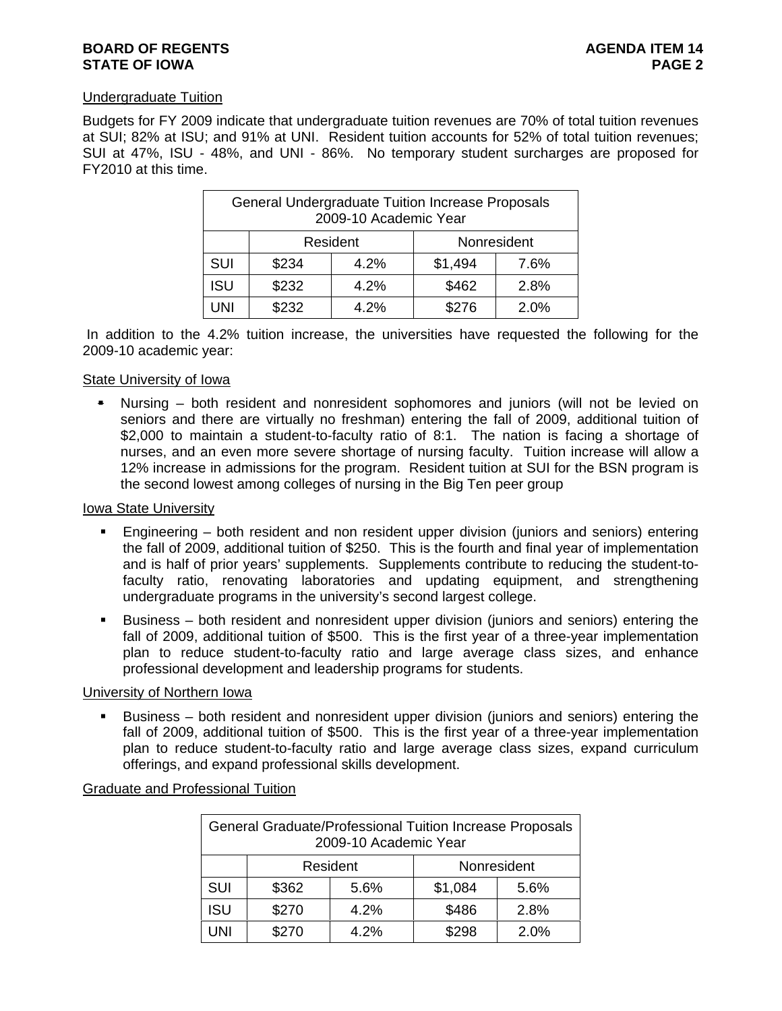# **BOARD OF REGENTS AGENUS AGENUS AGENUS AGENUS STATE OF IOWA** PAGE 2

# Undergraduate Tuition

Budgets for FY 2009 indicate that undergraduate tuition revenues are 70% of total tuition revenues at SUI; 82% at ISU; and 91% at UNI. Resident tuition accounts for 52% of total tuition revenues; SUI at 47%, ISU - 48%, and UNI - 86%. No temporary student surcharges are proposed for FY2010 at this time.

|            | General Undergraduate Tuition Increase Proposals | 2009-10 Academic Year |         |             |
|------------|--------------------------------------------------|-----------------------|---------|-------------|
|            |                                                  | Resident              |         | Nonresident |
| SUI        | \$234                                            | 4.2%                  | \$1,494 | 7.6%        |
| <b>ISU</b> | \$232                                            | 4.2%                  | \$462   | 2.8%        |
| UNI        | \$232                                            | 4.2%                  | \$276   | 2.0%        |

 In addition to the 4.2% tuition increase, the universities have requested the following for the 2009-10 academic year:

# State University of Iowa

 Nursing – both resident and nonresident sophomores and juniors (will not be levied on seniors and there are virtually no freshman) entering the fall of 2009, additional tuition of \$2,000 to maintain a student-to-faculty ratio of 8:1. The nation is facing a shortage of nurses, and an even more severe shortage of nursing faculty. Tuition increase will allow a 12% increase in admissions for the program. Resident tuition at SUI for the BSN program is the second lowest among colleges of nursing in the Big Ten peer group

#### Iowa State University

- Engineering both resident and non resident upper division (juniors and seniors) entering the fall of 2009, additional tuition of \$250. This is the fourth and final year of implementation and is half of prior years' supplements. Supplements contribute to reducing the student-tofaculty ratio, renovating laboratories and updating equipment, and strengthening undergraduate programs in the university's second largest college.
- Business both resident and nonresident upper division (juniors and seniors) entering the fall of 2009, additional tuition of \$500. This is the first year of a three-year implementation plan to reduce student-to-faculty ratio and large average class sizes, and enhance professional development and leadership programs for students.

# University of Northern Iowa

 Business – both resident and nonresident upper division (juniors and seniors) entering the fall of 2009, additional tuition of \$500. This is the first year of a three-year implementation plan to reduce student-to-faculty ratio and large average class sizes, expand curriculum offerings, and expand professional skills development.

Graduate and Professional Tuition

|            |       | 2009-10 Academic Year | General Graduate/Professional Tuition Increase Proposals |             |
|------------|-------|-----------------------|----------------------------------------------------------|-------------|
|            |       | Resident              |                                                          | Nonresident |
| <b>SUI</b> | \$362 | 5.6%                  | \$1,084                                                  | 5.6%        |
| <b>ISU</b> | \$270 | 4.2%                  | \$486                                                    | 2.8%        |
| 'JNI       | \$270 | 4.2%                  | \$298                                                    | 2.0%        |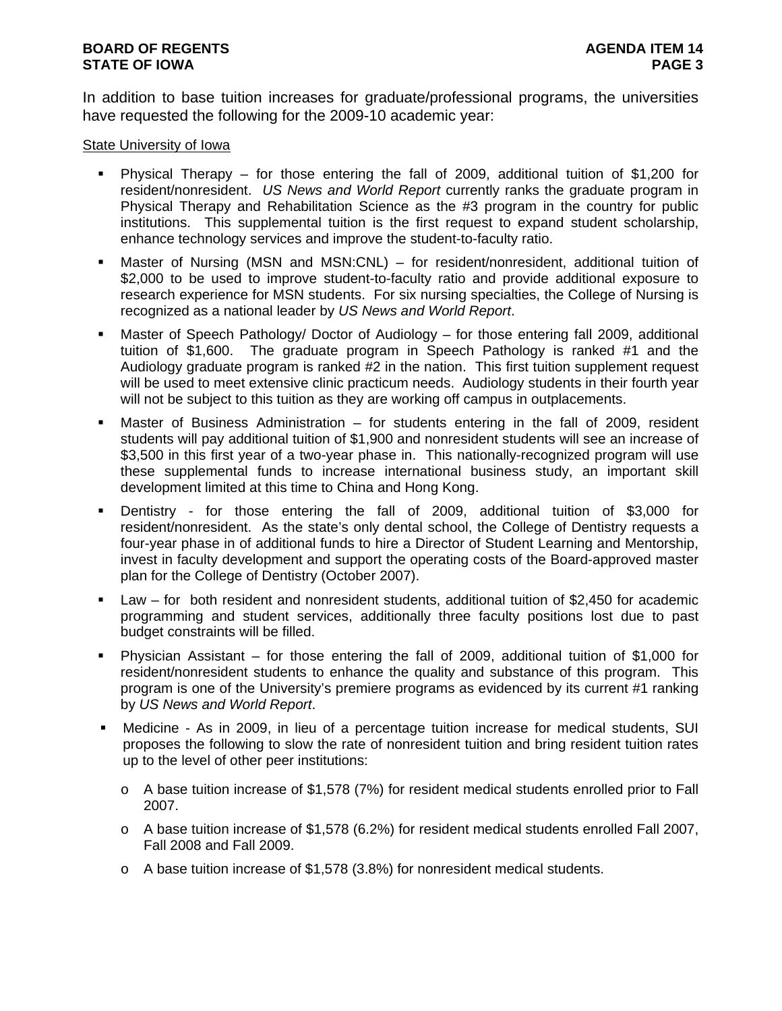In addition to base tuition increases for graduate/professional programs, the universities have requested the following for the 2009-10 academic year:

# State University of Iowa

- Physical Therapy for those entering the fall of 2009, additional tuition of \$1,200 for resident/nonresident. *US News and World Report* currently ranks the graduate program in Physical Therapy and Rehabilitation Science as the #3 program in the country for public institutions. This supplemental tuition is the first request to expand student scholarship, enhance technology services and improve the student-to-faculty ratio.
- Master of Nursing (MSN and MSN:CNL) for resident/nonresident, additional tuition of \$2,000 to be used to improve student-to-faculty ratio and provide additional exposure to research experience for MSN students. For six nursing specialties, the College of Nursing is recognized as a national leader by *US News and World Report*.
- Master of Speech Pathology/ Doctor of Audiology for those entering fall 2009, additional tuition of \$1,600. The graduate program in Speech Pathology is ranked #1 and the Audiology graduate program is ranked #2 in the nation. This first tuition supplement request will be used to meet extensive clinic practicum needs. Audiology students in their fourth year will not be subject to this tuition as they are working off campus in outplacements.
- Master of Business Administration for students entering in the fall of 2009, resident students will pay additional tuition of \$1,900 and nonresident students will see an increase of \$3,500 in this first year of a two-year phase in. This nationally-recognized program will use these supplemental funds to increase international business study, an important skill development limited at this time to China and Hong Kong.
- Dentistry for those entering the fall of 2009, additional tuition of \$3,000 for resident/nonresident. As the state's only dental school, the College of Dentistry requests a four-year phase in of additional funds to hire a Director of Student Learning and Mentorship, invest in faculty development and support the operating costs of the Board-approved master plan for the College of Dentistry (October 2007).
- Law for both resident and nonresident students, additional tuition of \$2,450 for academic programming and student services, additionally three faculty positions lost due to past budget constraints will be filled.
- Physician Assistant for those entering the fall of 2009, additional tuition of \$1,000 for resident/nonresident students to enhance the quality and substance of this program. This program is one of the University's premiere programs as evidenced by its current #1 ranking by *US News and World Report*.
- Medicine As in 2009, in lieu of a percentage tuition increase for medical students, SUI proposes the following to slow the rate of nonresident tuition and bring resident tuition rates up to the level of other peer institutions:
	- o A base tuition increase of \$1,578 (7%) for resident medical students enrolled prior to Fall 2007.
	- $\circ$  A base tuition increase of \$1,578 (6.2%) for resident medical students enrolled Fall 2007, Fall 2008 and Fall 2009.
	- o A base tuition increase of \$1,578 (3.8%) for nonresident medical students.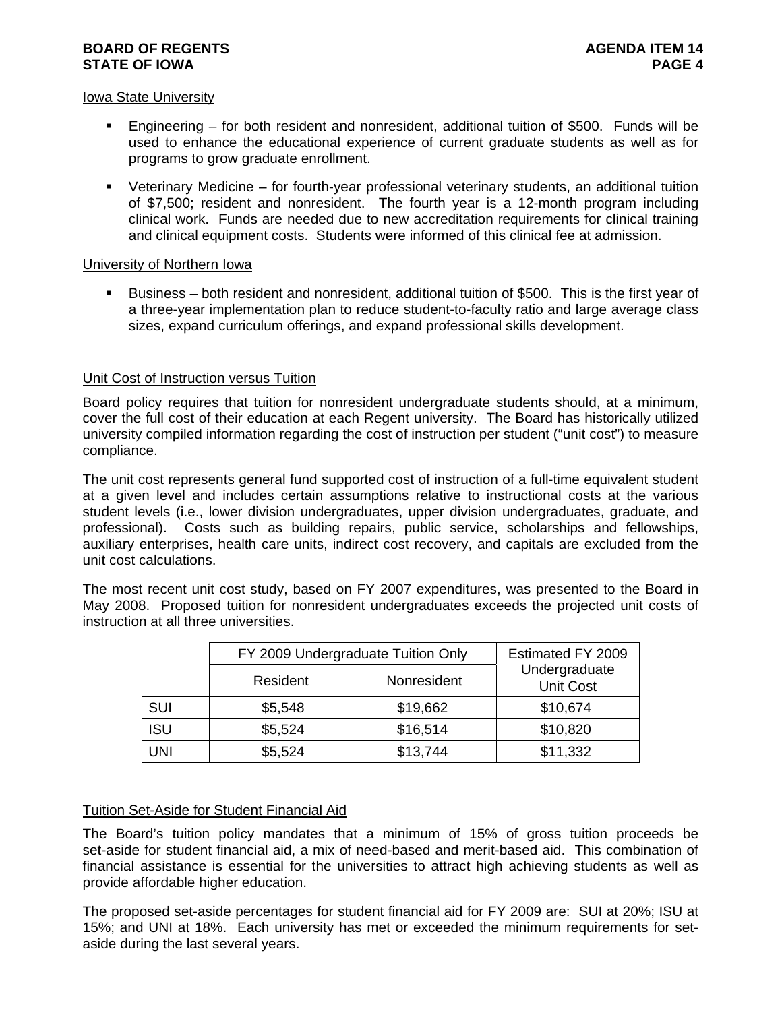# **BOARD OF REGENTS AGENUS AGENUS AGENUS AGENUS STATE OF IOWA** PAGE 4

# Iowa State University

- Engineering for both resident and nonresident, additional tuition of \$500. Funds will be used to enhance the educational experience of current graduate students as well as for programs to grow graduate enrollment.
- Veterinary Medicine for fourth-year professional veterinary students, an additional tuition of \$7,500; resident and nonresident. The fourth year is a 12-month program including clinical work. Funds are needed due to new accreditation requirements for clinical training and clinical equipment costs. Students were informed of this clinical fee at admission.

# University of Northern Iowa

 Business – both resident and nonresident, additional tuition of \$500. This is the first year of a three-year implementation plan to reduce student-to-faculty ratio and large average class sizes, expand curriculum offerings, and expand professional skills development.

# Unit Cost of Instruction versus Tuition

Board policy requires that tuition for nonresident undergraduate students should, at a minimum, cover the full cost of their education at each Regent university. The Board has historically utilized university compiled information regarding the cost of instruction per student ("unit cost") to measure compliance.

The unit cost represents general fund supported cost of instruction of a full-time equivalent student at a given level and includes certain assumptions relative to instructional costs at the various student levels (i.e., lower division undergraduates, upper division undergraduates, graduate, and professional). Costs such as building repairs, public service, scholarships and fellowships, auxiliary enterprises, health care units, indirect cost recovery, and capitals are excluded from the unit cost calculations.

The most recent unit cost study, based on FY 2007 expenditures, was presented to the Board in May 2008. Proposed tuition for nonresident undergraduates exceeds the projected unit costs of instruction at all three universities.

|            | FY 2009 Undergraduate Tuition Only |             | Estimated FY 2009                 |
|------------|------------------------------------|-------------|-----------------------------------|
|            | Resident                           | Nonresident | Undergraduate<br><b>Unit Cost</b> |
| <b>SUI</b> | \$5,548                            | \$19,662    | \$10,674                          |
| <b>ISU</b> | \$5,524                            | \$16,514    | \$10,820                          |
| <b>UNI</b> | \$5,524                            | \$13,744    | \$11,332                          |

# Tuition Set-Aside for Student Financial Aid

The Board's tuition policy mandates that a minimum of 15% of gross tuition proceeds be set-aside for student financial aid, a mix of need-based and merit-based aid. This combination of financial assistance is essential for the universities to attract high achieving students as well as provide affordable higher education.

The proposed set-aside percentages for student financial aid for FY 2009 are: SUI at 20%; ISU at 15%; and UNI at 18%. Each university has met or exceeded the minimum requirements for setaside during the last several years.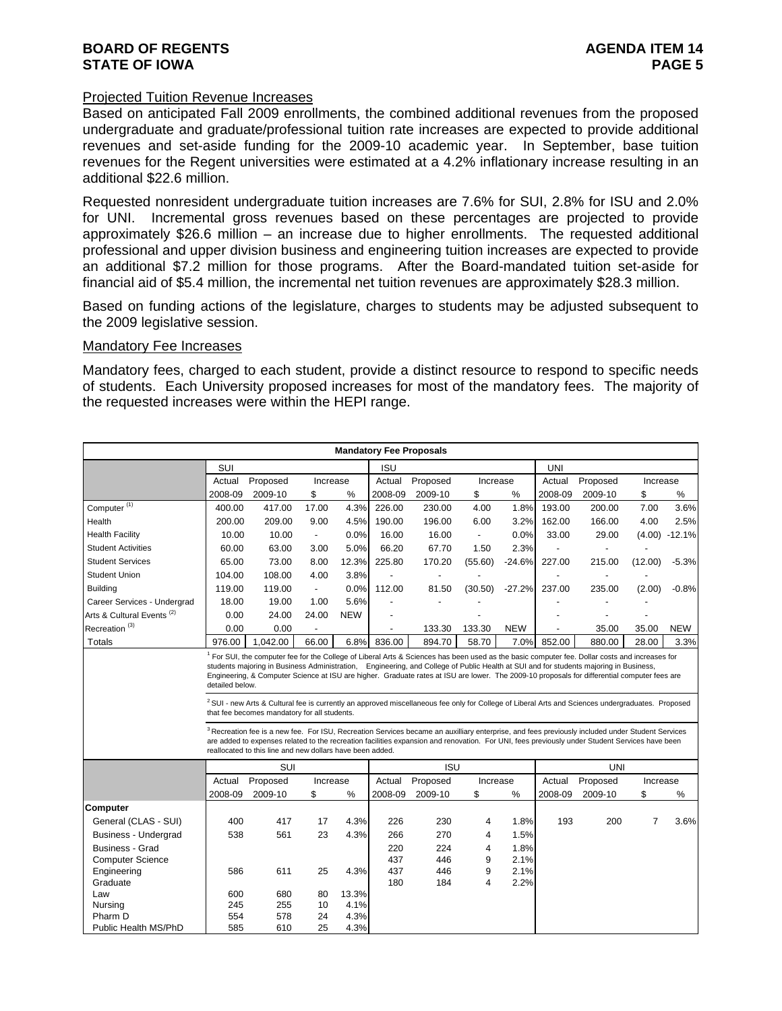#### Projected Tuition Revenue Increases

Based on anticipated Fall 2009 enrollments, the combined additional revenues from the proposed undergraduate and graduate/professional tuition rate increases are expected to provide additional revenues and set-aside funding for the 2009-10 academic year. In September, base tuition revenues for the Regent universities were estimated at a 4.2% inflationary increase resulting in an additional \$22.6 million.

Requested nonresident undergraduate tuition increases are 7.6% for SUI, 2.8% for ISU and 2.0% for UNI. Incremental gross revenues based on these percentages are projected to provide approximately \$26.6 million – an increase due to higher enrollments. The requested additional professional and upper division business and engineering tuition increases are expected to provide an additional \$7.2 million for those programs. After the Board-mandated tuition set-aside for financial aid of \$5.4 million, the incremental net tuition revenues are approximately \$28.3 million.

Based on funding actions of the legislature, charges to students may be adjusted subsequent to the 2009 legislative session.

#### Mandatory Fee Increases

Mandatory fees, charged to each student, provide a distinct resource to respond to specific needs of students. Each University proposed increases for most of the mandatory fees. The majority of the requested increases were within the HEPI range.

|                                       |                 |                                                                                                                                                                                                                                                                                                                                                                                                                                                                                                                                                                                                                                                                      |                          |            | <b>Mandatory Fee Proposals</b> |            |                         |            |            |            |                |                 |
|---------------------------------------|-----------------|----------------------------------------------------------------------------------------------------------------------------------------------------------------------------------------------------------------------------------------------------------------------------------------------------------------------------------------------------------------------------------------------------------------------------------------------------------------------------------------------------------------------------------------------------------------------------------------------------------------------------------------------------------------------|--------------------------|------------|--------------------------------|------------|-------------------------|------------|------------|------------|----------------|-----------------|
|                                       | SUI             |                                                                                                                                                                                                                                                                                                                                                                                                                                                                                                                                                                                                                                                                      |                          |            | <b>ISU</b>                     |            |                         |            | <b>UNI</b> |            |                |                 |
|                                       | Actual          | Proposed                                                                                                                                                                                                                                                                                                                                                                                                                                                                                                                                                                                                                                                             | Increase                 |            | Actual                         | Proposed   | Increase                |            | Actual     | Proposed   | Increase       |                 |
|                                       | 2008-09         | 2009-10                                                                                                                                                                                                                                                                                                                                                                                                                                                                                                                                                                                                                                                              | \$                       | $\%$       | 2008-09                        | 2009-10    | \$                      | %          | 2008-09    | 2009-10    | \$             | %               |
| Computer <sup>(1)</sup>               | 400.00          | 417.00                                                                                                                                                                                                                                                                                                                                                                                                                                                                                                                                                                                                                                                               | 17.00                    | 4.3%       | 226.00                         | 230.00     | 4.00                    | 1.8%       | 193.00     | 200.00     | 7.00           | 3.6%            |
| Health                                | 200.00          | 209.00                                                                                                                                                                                                                                                                                                                                                                                                                                                                                                                                                                                                                                                               | 9.00                     | 4.5%       | 190.00                         | 196.00     | 6.00                    | 3.2%       | 162.00     | 166.00     | 4.00           | 2.5%            |
| <b>Health Facility</b>                | 10.00           | 10.00                                                                                                                                                                                                                                                                                                                                                                                                                                                                                                                                                                                                                                                                | $\overline{\phantom{a}}$ | 0.0%       | 16.00                          | 16.00      | $\blacksquare$          | 0.0%       | 33.00      | 29.00      |                | $(4.00) -12.1%$ |
| <b>Student Activities</b>             | 60.00           | 63.00                                                                                                                                                                                                                                                                                                                                                                                                                                                                                                                                                                                                                                                                | 3.00                     | 5.0%       | 66.20                          | 67.70      | 1.50                    | 2.3%       |            |            |                |                 |
| <b>Student Services</b>               | 65.00           | 73.00                                                                                                                                                                                                                                                                                                                                                                                                                                                                                                                                                                                                                                                                | 8.00                     | 12.3%      | 225.80                         | 170.20     | (55.60)                 | $-24.6%$   | 227.00     | 215.00     | (12.00)        | $-5.3%$         |
| <b>Student Union</b>                  | 104.00          | 108.00                                                                                                                                                                                                                                                                                                                                                                                                                                                                                                                                                                                                                                                               | 4.00                     | 3.8%       |                                |            |                         |            |            |            |                |                 |
| <b>Building</b>                       | 119.00          | 119.00                                                                                                                                                                                                                                                                                                                                                                                                                                                                                                                                                                                                                                                               | $\overline{\phantom{a}}$ | 0.0%       | 112.00                         | 81.50      | (30.50)                 | $-27.2%$   | 237.00     | 235.00     | (2.00)         | $-0.8%$         |
| Career Services - Undergrad           | 18.00           | 19.00                                                                                                                                                                                                                                                                                                                                                                                                                                                                                                                                                                                                                                                                | 1.00                     | 5.6%       |                                |            |                         |            |            |            |                |                 |
| Arts & Cultural Events <sup>(2)</sup> | 0.00            | 24.00                                                                                                                                                                                                                                                                                                                                                                                                                                                                                                                                                                                                                                                                | 24.00                    | <b>NEW</b> |                                |            |                         |            |            |            |                |                 |
| Recreation <sup>(3)</sup>             | 0.00            | 0.00                                                                                                                                                                                                                                                                                                                                                                                                                                                                                                                                                                                                                                                                 |                          |            |                                | 133.30     | 133.30                  | <b>NEW</b> |            | 35.00      | 35.00          | <b>NEW</b>      |
| <b>Totals</b>                         | 976.00          | 1,042.00                                                                                                                                                                                                                                                                                                                                                                                                                                                                                                                                                                                                                                                             | 66.00                    | 6.8%       | 836.00                         | 894.70     | 58.70                   | 7.0%       | 852.00     | 880.00     | 28.00          | 3.3%            |
|                                       | detailed below. | students majoring in Business Administration, Engineering, and College of Public Health at SUI and for students majoring in Business,<br>Engineering, & Computer Science at ISU are higher. Graduate rates at ISU are lower. The 2009-10 proposals for differential computer fees are<br><sup>2</sup> SUI - new Arts & Cultural fee is currently an approved miscellaneous fee only for College of Liberal Arts and Sciences undergraduates. Proposed<br>that fee becomes mandatory for all students.<br><sup>3</sup> Recreation fee is a new fee. For ISU, Recreation Services became an auxilliary enterprise, and fees previously included under Student Services |                          |            |                                |            |                         |            |            |            |                |                 |
|                                       |                 | are added to expenses related to the recreation facilities expansion and renovation. For UNI, fees previously under Student Services have been<br>reallocated to this line and new dollars have been added.                                                                                                                                                                                                                                                                                                                                                                                                                                                          |                          |            |                                |            |                         |            |            |            |                |                 |
|                                       |                 | SUI                                                                                                                                                                                                                                                                                                                                                                                                                                                                                                                                                                                                                                                                  |                          |            |                                | <b>ISU</b> |                         |            |            | <b>UNI</b> |                |                 |
|                                       | Actual          | Proposed                                                                                                                                                                                                                                                                                                                                                                                                                                                                                                                                                                                                                                                             | Increase                 |            | Actual                         | Proposed   | Increase                |            | Actual     | Proposed   | Increase       |                 |
|                                       | 2008-09         | 2009-10                                                                                                                                                                                                                                                                                                                                                                                                                                                                                                                                                                                                                                                              | \$                       | %          | 2008-09                        | 2009-10    | \$                      | %          | 2008-09    | 2009-10    | \$             | $\%$            |
| <b>Computer</b>                       |                 |                                                                                                                                                                                                                                                                                                                                                                                                                                                                                                                                                                                                                                                                      |                          |            |                                |            |                         |            |            |            |                |                 |
| General (CLAS - SUI)                  | 400             | 417                                                                                                                                                                                                                                                                                                                                                                                                                                                                                                                                                                                                                                                                  | 17                       | 4.3%       | 226                            | 230        | 4                       | 1.8%       | 193        | 200        | $\overline{7}$ | 3.6%            |
| <b>Business - Undergrad</b>           | 538             | 561                                                                                                                                                                                                                                                                                                                                                                                                                                                                                                                                                                                                                                                                  | 23                       | 4.3%       | 266                            | 270        | 4                       | 1.5%       |            |            |                |                 |
| <b>Business - Grad</b>                |                 |                                                                                                                                                                                                                                                                                                                                                                                                                                                                                                                                                                                                                                                                      |                          |            | 220                            | 224        | 4                       | 1.8%       |            |            |                |                 |
| <b>Computer Science</b>               |                 |                                                                                                                                                                                                                                                                                                                                                                                                                                                                                                                                                                                                                                                                      |                          |            | 437                            | 446        | 9                       | 2.1%       |            |            |                |                 |
| Engineering                           | 586             | 611                                                                                                                                                                                                                                                                                                                                                                                                                                                                                                                                                                                                                                                                  | 25                       | 4.3%       | 437                            | 446        | 9                       | 2.1%       |            |            |                |                 |
| Graduate                              |                 |                                                                                                                                                                                                                                                                                                                                                                                                                                                                                                                                                                                                                                                                      |                          | 13.3%      | 180                            | 184        | $\overline{\mathbf{4}}$ | 2.2%       |            |            |                |                 |
| Law<br>Nursing                        | 600<br>245      | 680<br>255                                                                                                                                                                                                                                                                                                                                                                                                                                                                                                                                                                                                                                                           | 80<br>10                 | 4.1%       |                                |            |                         |            |            |            |                |                 |
| Pharm D                               | 554             | 578                                                                                                                                                                                                                                                                                                                                                                                                                                                                                                                                                                                                                                                                  | 24                       | 4.3%       |                                |            |                         |            |            |            |                |                 |
| Public Health MS/PhD                  | 585             | 610                                                                                                                                                                                                                                                                                                                                                                                                                                                                                                                                                                                                                                                                  | 25                       | 4.3%       |                                |            |                         |            |            |            |                |                 |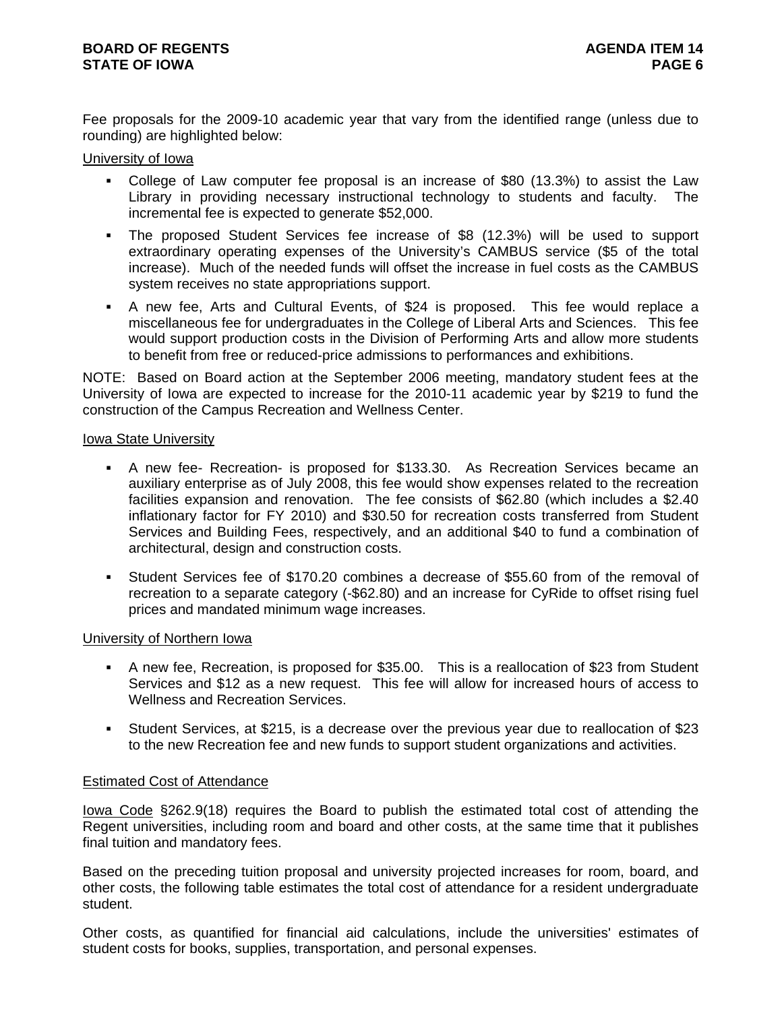Fee proposals for the 2009-10 academic year that vary from the identified range (unless due to rounding) are highlighted below:

# University of Iowa

- College of Law computer fee proposal is an increase of \$80 (13.3%) to assist the Law Library in providing necessary instructional technology to students and faculty. The incremental fee is expected to generate \$52,000.
- The proposed Student Services fee increase of \$8 (12.3%) will be used to support extraordinary operating expenses of the University's CAMBUS service (\$5 of the total increase). Much of the needed funds will offset the increase in fuel costs as the CAMBUS system receives no state appropriations support.
- A new fee, Arts and Cultural Events, of \$24 is proposed. This fee would replace a miscellaneous fee for undergraduates in the College of Liberal Arts and Sciences. This fee would support production costs in the Division of Performing Arts and allow more students to benefit from free or reduced-price admissions to performances and exhibitions.

NOTE: Based on Board action at the September 2006 meeting, mandatory student fees at the University of Iowa are expected to increase for the 2010-11 academic year by \$219 to fund the construction of the Campus Recreation and Wellness Center.

# Iowa State University

- A new fee- Recreation- is proposed for \$133.30. As Recreation Services became an auxiliary enterprise as of July 2008, this fee would show expenses related to the recreation facilities expansion and renovation. The fee consists of \$62.80 (which includes a \$2.40 inflationary factor for FY 2010) and \$30.50 for recreation costs transferred from Student Services and Building Fees, respectively, and an additional \$40 to fund a combination of architectural, design and construction costs.
- Student Services fee of \$170.20 combines a decrease of \$55.60 from of the removal of recreation to a separate category (-\$62.80) and an increase for CyRide to offset rising fuel prices and mandated minimum wage increases.

# University of Northern Iowa

- A new fee, Recreation, is proposed for \$35.00. This is a reallocation of \$23 from Student Services and \$12 as a new request. This fee will allow for increased hours of access to Wellness and Recreation Services.
- Student Services, at \$215, is a decrease over the previous year due to reallocation of \$23 to the new Recreation fee and new funds to support student organizations and activities.

# Estimated Cost of Attendance

Iowa Code §262.9(18) requires the Board to publish the estimated total cost of attending the Regent universities, including room and board and other costs, at the same time that it publishes final tuition and mandatory fees.

Based on the preceding tuition proposal and university projected increases for room, board, and other costs, the following table estimates the total cost of attendance for a resident undergraduate student.

Other costs, as quantified for financial aid calculations, include the universities' estimates of student costs for books, supplies, transportation, and personal expenses.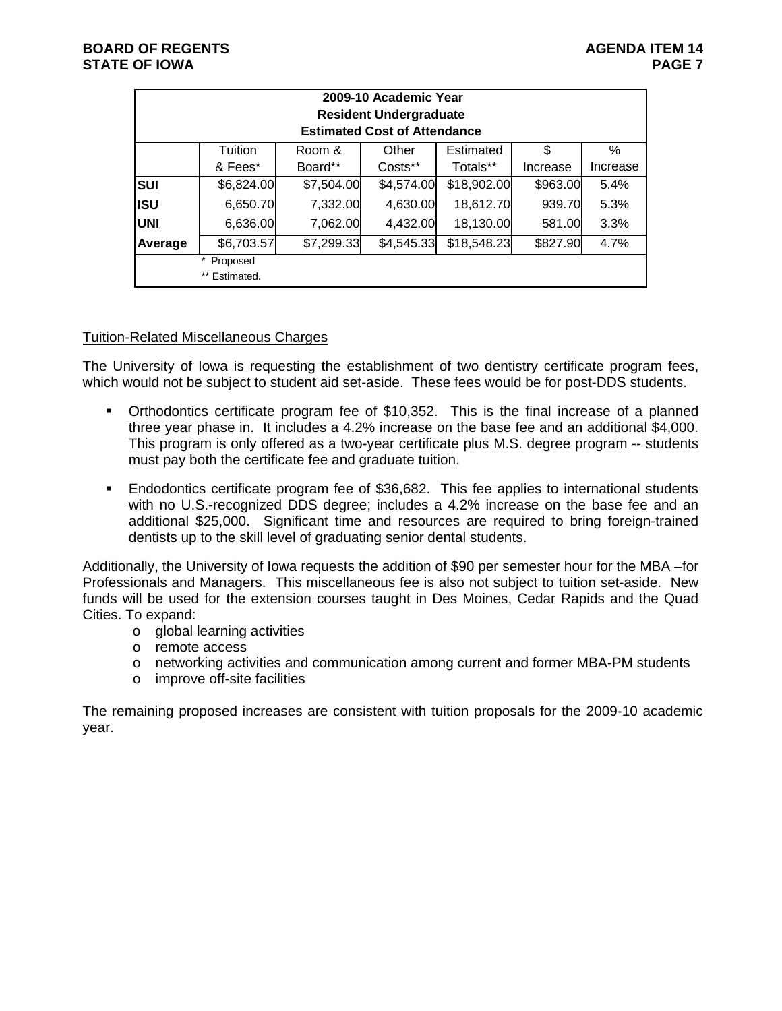|            |                                |            | 2009-10 Academic Year<br><b>Resident Undergraduate</b><br><b>Estimated Cost of Attendance</b> |             |          |          |
|------------|--------------------------------|------------|-----------------------------------------------------------------------------------------------|-------------|----------|----------|
|            | Tuition                        | Room &     | Other                                                                                         | Estimated   | \$       | ℅        |
|            | & Fees*                        | Board**    | Costs**                                                                                       | Totals**    | Increase | Increase |
| <b>SUI</b> | \$6,824.00                     | \$7,504.00 | \$4,574.00                                                                                    | \$18,902.00 | \$963.00 | 5.4%     |
| <b>ISU</b> | 6,650.70                       | 7,332.00   | 4,630.00                                                                                      | 18,612.70   | 939.70   | 5.3%     |
| <b>UNI</b> | 6,636.00                       | 7,062.00   | 4,432.00                                                                                      | 18,130.00   | 581.00   | 3.3%     |
| Average    | \$6,703.57                     | \$7,299.33 | \$4,545.33                                                                                    | \$18,548.23 | \$827.90 | 4.7%     |
|            | *<br>Proposed<br>** Estimated. |            |                                                                                               |             |          |          |

# Tuition-Related Miscellaneous Charges

The University of Iowa is requesting the establishment of two dentistry certificate program fees, which would not be subject to student aid set-aside. These fees would be for post-DDS students.

- Orthodontics certificate program fee of \$10,352. This is the final increase of a planned three year phase in. It includes a 4.2% increase on the base fee and an additional \$4,000. This program is only offered as a two-year certificate plus M.S. degree program -- students must pay both the certificate fee and graduate tuition.
- Endodontics certificate program fee of \$36,682. This fee applies to international students with no U.S.-recognized DDS degree; includes a 4.2% increase on the base fee and an additional \$25,000. Significant time and resources are required to bring foreign-trained dentists up to the skill level of graduating senior dental students.

Additionally, the University of Iowa requests the addition of \$90 per semester hour for the MBA –for Professionals and Managers. This miscellaneous fee is also not subject to tuition set-aside. New funds will be used for the extension courses taught in Des Moines, Cedar Rapids and the Quad Cities. To expand:

- o global learning activities
- o remote access
- $\circ$  networking activities and communication among current and former MBA-PM students
- o improve off-site facilities

The remaining proposed increases are consistent with tuition proposals for the 2009-10 academic year.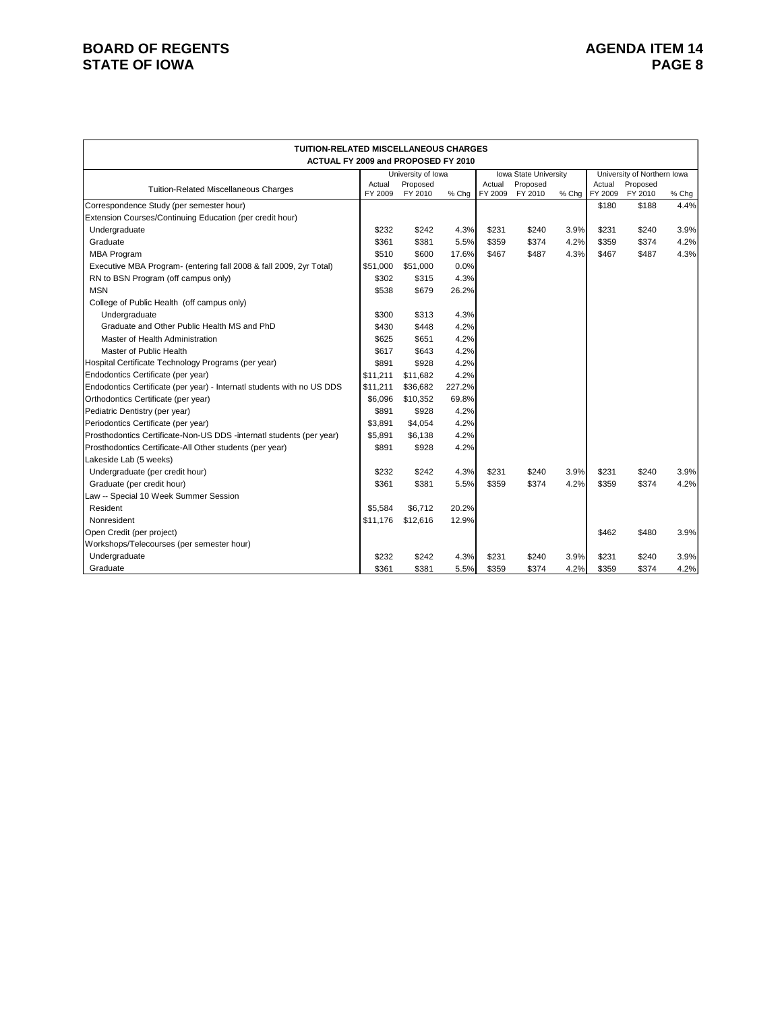# **BOARD OF REGENTS**<br> **BOARD OF REGENTS**<br> **BOARD OF IOWA**<br> **BOARD OF IOWA STATE OF IOWA**

| <b>TUITION-RELATED MISCELLANEOUS CHARGES</b>                           |                   |                     |        |                   |                       |       |                   |                             |       |
|------------------------------------------------------------------------|-------------------|---------------------|--------|-------------------|-----------------------|-------|-------------------|-----------------------------|-------|
| ACTUAL FY 2009 and PROPOSED FY 2010                                    |                   |                     |        |                   |                       |       |                   |                             |       |
|                                                                        |                   | University of Iowa  |        |                   | Iowa State University |       |                   | University of Northern Iowa |       |
| <b>Tuition-Related Miscellaneous Charges</b>                           | Actual<br>FY 2009 | Proposed<br>FY 2010 | % Chg  | Actual<br>FY 2009 | Proposed<br>FY 2010   | % Chg | Actual<br>FY 2009 | Proposed<br>FY 2010         | % Chg |
| Correspondence Study (per semester hour)                               |                   |                     |        |                   |                       |       | \$180             | \$188                       | 4.4%  |
| Extension Courses/Continuing Education (per credit hour)               |                   |                     |        |                   |                       |       |                   |                             |       |
| Undergraduate                                                          | \$232             | \$242               | 4.3%   | \$231             | \$240                 | 3.9%  | \$231             | \$240                       | 3.9%  |
| Graduate                                                               | \$361             | \$381               | 5.5%   | \$359             | \$374                 | 4.2%  | \$359             | \$374                       | 4.2%  |
| <b>MBA Program</b>                                                     | \$510             | \$600               | 17.6%  | \$467             | \$487                 | 4.3%  | \$467             | \$487                       | 4.3%  |
| Executive MBA Program- (entering fall 2008 & fall 2009, 2yr Total)     | \$51,000          | \$51,000            | 0.0%   |                   |                       |       |                   |                             |       |
| RN to BSN Program (off campus only)                                    | \$302             | \$315               | 4.3%   |                   |                       |       |                   |                             |       |
| <b>MSN</b>                                                             | \$538             | \$679               | 26.2%  |                   |                       |       |                   |                             |       |
| College of Public Health (off campus only)                             |                   |                     |        |                   |                       |       |                   |                             |       |
| Undergraduate                                                          | \$300             | \$313               | 4.3%   |                   |                       |       |                   |                             |       |
| Graduate and Other Public Health MS and PhD                            | \$430             | \$448               | 4.2%   |                   |                       |       |                   |                             |       |
| Master of Health Administration                                        | \$625             | \$651               | 4.2%   |                   |                       |       |                   |                             |       |
| Master of Public Health                                                | \$617             | \$643               | 4.2%   |                   |                       |       |                   |                             |       |
| Hospital Certificate Technology Programs (per year)                    | \$891             | \$928               | 4.2%   |                   |                       |       |                   |                             |       |
| Endodontics Certificate (per year)                                     | \$11.211          | \$11.682            | 4.2%   |                   |                       |       |                   |                             |       |
| Endodontics Certificate (per year) - Internatl students with no US DDS | \$11,211          | \$36,682            | 227.2% |                   |                       |       |                   |                             |       |
| Orthodontics Certificate (per year)                                    | \$6,096           | \$10,352            | 69.8%  |                   |                       |       |                   |                             |       |
| Pediatric Dentistry (per year)                                         | \$891             | \$928               | 4.2%   |                   |                       |       |                   |                             |       |
| Periodontics Certificate (per year)                                    | \$3,891           | \$4,054             | 4.2%   |                   |                       |       |                   |                             |       |
| Prosthodontics Certificate-Non-US DDS -internatl students (per year)   | \$5,891           | \$6,138             | 4.2%   |                   |                       |       |                   |                             |       |
| Prosthodontics Certificate-All Other students (per year)               | \$891             | \$928               | 4.2%   |                   |                       |       |                   |                             |       |
| Lakeside Lab (5 weeks)                                                 |                   |                     |        |                   |                       |       |                   |                             |       |
| Undergraduate (per credit hour)                                        | \$232             | \$242               | 4.3%   | \$231             | \$240                 | 3.9%  | \$231             | \$240                       | 3.9%  |
| Graduate (per credit hour)                                             | \$361             | \$381               | 5.5%   | \$359             | \$374                 | 4.2%  | \$359             | \$374                       | 4.2%  |
| Law -- Special 10 Week Summer Session                                  |                   |                     |        |                   |                       |       |                   |                             |       |
| Resident                                                               | \$5.584           | \$6.712             | 20.2%  |                   |                       |       |                   |                             |       |
| Nonresident                                                            | \$11,176          | \$12,616            | 12.9%  |                   |                       |       |                   |                             |       |
| Open Credit (per project)                                              |                   |                     |        |                   |                       |       | \$462             | \$480                       | 3.9%  |
| Workshops/Telecourses (per semester hour)                              |                   |                     |        |                   |                       |       |                   |                             |       |
| Undergraduate                                                          | \$232             | \$242               | 4.3%   | \$231             | \$240                 | 3.9%  | \$231             | \$240                       | 3.9%  |
| Graduate                                                               | \$361             | \$381               | 5.5%   | \$359             | \$374                 | 4.2%  | \$359             | \$374                       | 4.2%  |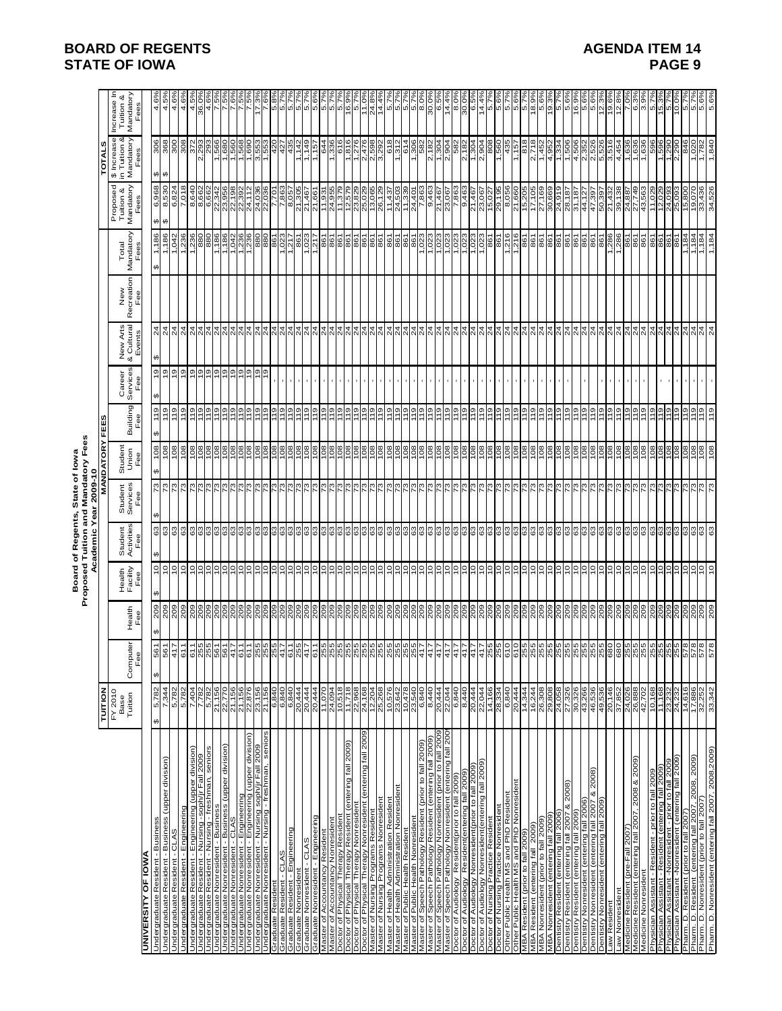|                                                                                                                                                                                            |                                                                                                                                                                                                                                                                                                                                                                                          |              |                       |                                  |                              | Proposed Tuition and Mandatory Fees<br>Academic Year 2009-10<br>Board of Regents, State of lowa |                                                                                                                                                                                         |                       |                                    |                                                                                                                                             |                          |                                                                                     |                                                                                                                                                                                                                                                                                                                                                                                              |                                                                                                                                                                                                                                                                                                                                                                                              |                                       |
|--------------------------------------------------------------------------------------------------------------------------------------------------------------------------------------------|------------------------------------------------------------------------------------------------------------------------------------------------------------------------------------------------------------------------------------------------------------------------------------------------------------------------------------------------------------------------------------------|--------------|-----------------------|----------------------------------|------------------------------|-------------------------------------------------------------------------------------------------|-----------------------------------------------------------------------------------------------------------------------------------------------------------------------------------------|-----------------------|------------------------------------|---------------------------------------------------------------------------------------------------------------------------------------------|--------------------------|-------------------------------------------------------------------------------------|----------------------------------------------------------------------------------------------------------------------------------------------------------------------------------------------------------------------------------------------------------------------------------------------------------------------------------------------------------------------------------------------|----------------------------------------------------------------------------------------------------------------------------------------------------------------------------------------------------------------------------------------------------------------------------------------------------------------------------------------------------------------------------------------------|---------------------------------------|
|                                                                                                                                                                                            | <b>NOILIN</b>                                                                                                                                                                                                                                                                                                                                                                            |              |                       |                                  |                              |                                                                                                 | <b>MANDATORY</b>                                                                                                                                                                        | FEES                  |                                    |                                                                                                                                             |                          |                                                                                     |                                                                                                                                                                                                                                                                                                                                                                                              | w<br>TOTAL                                                                                                                                                                                                                                                                                                                                                                                   |                                       |
|                                                                                                                                                                                            | $FY$ 2010<br>Base<br>Tuition                                                                                                                                                                                                                                                                                                                                                             | Computer     | Health<br>Fee         | Health<br>Facility<br>Fee        | Student<br>Activities<br>Fee | Student<br>Services<br>Fee                                                                      | Student<br>Union<br>Fee                                                                                                                                                                 | Building              | Services<br>Fee<br>Career          | New Arts<br>& Cultural<br>Events<br>త                                                                                                       | New<br>Recreation<br>Fee | Mandatory<br>Total                                                                  | Mandatory<br>Proposed<br>Tuition &                                                                                                                                                                                                                                                                                                                                                           | \$ Increase<br>in Tuition &<br>Mandatory                                                                                                                                                                                                                                                                                                                                                     | Increase In<br>Tuition &<br>Mandatory |
| <b>UNIVERSITY OF IOWA</b>                                                                                                                                                                  |                                                                                                                                                                                                                                                                                                                                                                                          | $\Phi$<br>٩, |                       |                                  |                              |                                                                                                 |                                                                                                                                                                                         | Fee                   |                                    |                                                                                                                                             |                          | Fees                                                                                | Fees                                                                                                                                                                                                                                                                                                                                                                                         | Fees                                                                                                                                                                                                                                                                                                                                                                                         | Fees                                  |
| Undergraduate Resident - Business (upper division)<br>Undergraduate Resident - Business                                                                                                    | 5,782<br>7,344<br>↮                                                                                                                                                                                                                                                                                                                                                                      | 561<br>↮     | 209<br>↮              | 위<br>$\frac{1}{2}$<br>↮          | $\mathbb{S}^3$<br>සි<br>↮    | 의<br>$\theta$                                                                                   | $\frac{8}{20}$<br>108<br>$\leftrightarrow$                                                                                                                                              | 119<br>119<br>↮       | $\frac{5}{2}$<br>$\leftrightarrow$ | $\overline{24}$<br>24<br>$\boldsymbol{\varphi}$                                                                                             |                          | 1,186<br>1,186<br>$\boldsymbol{\varphi}$                                            | 6,968<br>8,530<br>မာမာ                                                                                                                                                                                                                                                                                                                                                                       | 306<br>368<br>$\boldsymbol{\omega}$                                                                                                                                                                                                                                                                                                                                                          | $4.6^{\circ}$<br>$4.5^{\circ}$        |
| Undergraduate Resident - CLAS                                                                                                                                                              | 5,782                                                                                                                                                                                                                                                                                                                                                                                    | 417          | 209                   | 의                                | 63                           | 73                                                                                              | 108                                                                                                                                                                                     | 119                   | $\frac{5}{2}$                      | $\frac{4}{3}$                                                                                                                               |                          | 1,042                                                                               | 6,824                                                                                                                                                                                                                                                                                                                                                                                        | 300                                                                                                                                                                                                                                                                                                                                                                                          | $4.6^{\circ}$                         |
| Undergraduate Resident - Engineering                                                                                                                                                       | 5,782                                                                                                                                                                                                                                                                                                                                                                                    | 611          | 209                   | $\overline{c}$                   | 63                           | 73                                                                                              | 108                                                                                                                                                                                     | 119                   | ę,                                 | $\frac{4}{3}$                                                                                                                               |                          | 236<br>$\overline{\phantom{0}}$                                                     | 7,018                                                                                                                                                                                                                                                                                                                                                                                        | 308                                                                                                                                                                                                                                                                                                                                                                                          | 4.69                                  |
| Undergraduate Resident - Engineering (upper division)                                                                                                                                      | 7,404<br>.782                                                                                                                                                                                                                                                                                                                                                                            | 611          | 209                   | e                                | 63<br>63                     | 73<br>73                                                                                        |                                                                                                                                                                                         | 119<br>119            | 위위                                 | $^{24}$                                                                                                                                     |                          |                                                                                     |                                                                                                                                                                                                                                                                                                                                                                                              | 372                                                                                                                                                                                                                                                                                                                                                                                          | $4.5^{\circ}$                         |
| <u>Undergraduate Resident - Nursing -soph/jr Fall 2009<br/>Undergraduate Resident - Nursing - freshman, seniors</u>                                                                        | 5.782                                                                                                                                                                                                                                                                                                                                                                                    |              | 209                   |                                  | 63                           | 73                                                                                              | $rac{8}{100}$                                                                                                                                                                           | 611                   |                                    | $\frac{24}{4}$                                                                                                                              |                          | $\frac{180}{180}$                                                                   | 8,640<br>8,662<br>6,662                                                                                                                                                                                                                                                                                                                                                                      | 2,293                                                                                                                                                                                                                                                                                                                                                                                        | 36.0°<br>4.6°                         |
| Undergraduate Nonresident - Business                                                                                                                                                       | 21,156                                                                                                                                                                                                                                                                                                                                                                                   |              | $\frac{8}{20}$        | 의의                               | $\frac{3}{63}$               | $\frac{3}{2}$                                                                                   | ခြံခြံခြံခြံခြံခြံခြံ                                                                                                                                                                   | 119                   | 휘리히아  호                            | $\frac{5}{4}$                                                                                                                               |                          | $\frac{1,186}{1,186}$                                                               |                                                                                                                                                                                                                                                                                                                                                                                              | $\frac{1,566}{1,680}$                                                                                                                                                                                                                                                                                                                                                                        |                                       |
| ndergraduate Nonresident - Business (upper division)                                                                                                                                       |                                                                                                                                                                                                                                                                                                                                                                                          |              | 209                   |                                  |                              |                                                                                                 |                                                                                                                                                                                         | $\frac{9}{11}$        |                                    |                                                                                                                                             |                          |                                                                                     |                                                                                                                                                                                                                                                                                                                                                                                              |                                                                                                                                                                                                                                                                                                                                                                                              |                                       |
| <u>Undergraduate Nonresident - CLAS<br/>Undergraduate Nonresident - Engineering<br/>Undergraduate Nonresident - Engineering (upper division)</u>                                           |                                                                                                                                                                                                                                                                                                                                                                                          |              | $\frac{18}{20}$       | ାା                               | ទៀទៀទីទី                     | ត្តនៅដែ                                                                                         |                                                                                                                                                                                         | 위원                    |                                    | $\frac{9}{4}$ $\frac{9}{4}$ $\frac{9}{4}$ $\frac{9}{4}$                                                                                     |                          |                                                                                     |                                                                                                                                                                                                                                                                                                                                                                                              | <b>600 000</b><br> 500 0000<br> - - -  01 00                                                                                                                                                                                                                                                                                                                                                 |                                       |
|                                                                                                                                                                                            |                                                                                                                                                                                                                                                                                                                                                                                          |              |                       | ∣∘                               |                              |                                                                                                 |                                                                                                                                                                                         |                       |                                    |                                                                                                                                             |                          |                                                                                     |                                                                                                                                                                                                                                                                                                                                                                                              |                                                                                                                                                                                                                                                                                                                                                                                              |                                       |
| <u>Undergraduate Nonresident - Nursing soph/jr Fall 2009<br/>Undergraduate Nonresident - Nursing - freshman, seniors</u>                                                                   | 21.156<br>21.156<br>20.31.156<br>20.31.156                                                                                                                                                                                                                                                                                                                                               |              |                       | °                                |                              |                                                                                                 |                                                                                                                                                                                         | $\frac{6}{119}$       |                                    |                                                                                                                                             |                          | အဖြစ်<br>မြစ်မြစ်မြစ်                                                               | 3488822<br>2358822<br>2358822<br>23582                                                                                                                                                                                                                                                                                                                                                       |                                                                                                                                                                                                                                                                                                                                                                                              |                                       |
|                                                                                                                                                                                            |                                                                                                                                                                                                                                                                                                                                                                                          |              |                       |                                  | ී                            |                                                                                                 | $\frac{80}{2}$                                                                                                                                                                          | 119                   |                                    | $\overline{6}$                                                                                                                              |                          | 98                                                                                  |                                                                                                                                                                                                                                                                                                                                                                                              |                                                                                                                                                                                                                                                                                                                                                                                              | ιó                                    |
| Graduate Resident - CLAS                                                                                                                                                                   | 6,840                                                                                                                                                                                                                                                                                                                                                                                    |              | 209                   | $\overline{c}$                   | ြိ                           |                                                                                                 | 108                                                                                                                                                                                     | 119                   |                                    | $\frac{1}{4}$                                                                                                                               |                          | 023                                                                                 | 7.86                                                                                                                                                                                                                                                                                                                                                                                         |                                                                                                                                                                                                                                                                                                                                                                                              |                                       |
| Graduate Resident - Kung<br>Graduate Nonresident<br>Graduate Nonresident                                                                                                                   | $\frac{6!}{6!}\frac{9!}{9!}\frac{9!}{9!}\frac{14}{9!}\frac{1}{14}\frac{1}{14}\frac{1}{14}\frac{1}{14}\frac{1}{14}\frac{1}{14}\frac{1}{14}\frac{1}{14}\frac{1}{14}\frac{1}{14}\frac{1}{14}\frac{1}{14}\frac{1}{14}\frac{1}{14}\frac{1}{14}\frac{1}{14}\frac{1}{14}\frac{1}{14}\frac{1}{14}\frac{1}{14}\frac{1}{14}\frac{1}{14}\frac{1}{14}\frac{1}{14}\frac{1}{14}\frac{1}{14}\frac{1}{1$ |              | 209                   | 의                                | $\frac{3}{6}$                | $\frac{3}{2}$                                                                                   | $rac{108}{108}$                                                                                                                                                                         | $\frac{0}{11}$        |                                    | ╣.                                                                                                                                          |                          | 1260237                                                                             | 8,057                                                                                                                                                                                                                                                                                                                                                                                        |                                                                                                                                                                                                                                                                                                                                                                                              |                                       |
| Graduate Nonresident - CLAS                                                                                                                                                                |                                                                                                                                                                                                                                                                                                                                                                                          |              | 209                   |                                  | <u>ွ</u>                     | 인                                                                                               |                                                                                                                                                                                         |                       |                                    |                                                                                                                                             |                          |                                                                                     |                                                                                                                                                                                                                                                                                                                                                                                              |                                                                                                                                                                                                                                                                                                                                                                                              |                                       |
| raduate Nonresident - Engineering                                                                                                                                                          |                                                                                                                                                                                                                                                                                                                                                                                          |              | 209                   | 의의의의                             | ္မျ                          |                                                                                                 |                                                                                                                                                                                         | <u>이들들이 </u>          |                                    | $\frac{4}{9} \frac{2}{4} \frac{1}{4}$                                                                                                       |                          |                                                                                     | 21,305<br>21,461<br>21,955<br>21,379<br>2011,379<br>2011,379                                                                                                                                                                                                                                                                                                                                 |                                                                                                                                                                                                                                                                                                                                                                                              |                                       |
| Resident<br>Nonreside                                                                                                                                                                      |                                                                                                                                                                                                                                                                                                                                                                                          |              |                       |                                  |                              |                                                                                                 |                                                                                                                                                                                         |                       |                                    |                                                                                                                                             |                          |                                                                                     |                                                                                                                                                                                                                                                                                                                                                                                              |                                                                                                                                                                                                                                                                                                                                                                                              |                                       |
| Residen<br>Master of Accountancy Res<br>Master of Accountancy Non<br>Doctor of Physical Therapy                                                                                            |                                                                                                                                                                                                                                                                                                                                                                                          |              |                       |                                  | စစစစ                         |                                                                                                 | $rac{86}{28}$                                                                                                                                                                           | <b>P1</b>             |                                    | 의의성                                                                                                                                         |                          | <u>ត្តត្រូត្រ</u><br>ត្រូត្រូត្រូ                                                   |                                                                                                                                                                                                                                                                                                                                                                                              |                                                                                                                                                                                                                                                                                                                                                                                              |                                       |
| (entering fall 2009)<br>Doctor of Physical Therapy Resident                                                                                                                                |                                                                                                                                                                                                                                                                                                                                                                                          |              | 209                   | ٥,                               | ြိ                           |                                                                                                 |                                                                                                                                                                                         | 119                   |                                    | $\overline{24}$                                                                                                                             |                          |                                                                                     |                                                                                                                                                                                                                                                                                                                                                                                              |                                                                                                                                                                                                                                                                                                                                                                                              | 16.                                   |
| octor of Physical Therapy Nonresi                                                                                                                                                          | 11,718<br>22,968                                                                                                                                                                                                                                                                                                                                                                         |              | 209                   | ∘                                | ී                            |                                                                                                 | 108                                                                                                                                                                                     | 119                   |                                    | 24                                                                                                                                          |                          | 861                                                                                 | 12,579<br>23,829                                                                                                                                                                                                                                                                                                                                                                             | 1,816<br>1,276                                                                                                                                                                                                                                                                                                                                                                               |                                       |
| Doctor of Physical Therapy Nonresident (entering fall 2009)                                                                                                                                | 24,168                                                                                                                                                                                                                                                                                                                                                                                   |              | 209                   | ៓                                | 3                            | $\frac{3}{2}$                                                                                   |                                                                                                                                                                                         | 119                   |                                    |                                                                                                                                             |                          | 861                                                                                 | 25,029                                                                                                                                                                                                                                                                                                                                                                                       |                                                                                                                                                                                                                                                                                                                                                                                              | 11.0                                  |
| ster of Nursing Programs Res                                                                                                                                                               | 12,204<br>25,268                                                                                                                                                                                                                                                                                                                                                                         |              | $\frac{80}{2}$        | 의의                               | යි                           |                                                                                                 | $rac{108}{108}$                                                                                                                                                                         | 위구                    |                                    |                                                                                                                                             |                          | $\frac{6}{8}$                                                                       | 13,065                                                                                                                                                                                                                                                                                                                                                                                       |                                                                                                                                                                                                                                                                                                                                                                                              |                                       |
| Nonresident<br>aster of Nursing Programs                                                                                                                                                   |                                                                                                                                                                                                                                                                                                                                                                                          |              | 209                   |                                  | 3                            | $\overline{73}$                                                                                 |                                                                                                                                                                                         |                       |                                    | $\frac{4}{2}$ $\frac{4}{2}$ $\frac{4}{2}$                                                                                                   |                          | 861                                                                                 | 26,1                                                                                                                                                                                                                                                                                                                                                                                         | 2,476<br>2,598<br>3,292<br>618                                                                                                                                                                                                                                                                                                                                                               |                                       |
|                                                                                                                                                                                            |                                                                                                                                                                                                                                                                                                                                                                                          |              | 209                   | 의의의                              | 8                            | 79                                                                                              |                                                                                                                                                                                         | 119                   |                                    |                                                                                                                                             |                          | 861                                                                                 |                                                                                                                                                                                                                                                                                                                                                                                              |                                                                                                                                                                                                                                                                                                                                                                                              |                                       |
|                                                                                                                                                                                            |                                                                                                                                                                                                                                                                                                                                                                                          |              |                       |                                  |                              |                                                                                                 |                                                                                                                                                                                         |                       |                                    |                                                                                                                                             |                          |                                                                                     |                                                                                                                                                                                                                                                                                                                                                                                              |                                                                                                                                                                                                                                                                                                                                                                                              |                                       |
| Master of Health Administration Resident<br>Master of Health Administration Nonresident<br>Master of Public Health Nonresident<br>Master of Speech Pathology Resident (prior to fall 2009) | 0.578<br>0.642<br>0.478<br>0.840<br>0.840                                                                                                                                                                                                                                                                                                                                                |              | <u>၁၁၁၁</u><br>၁၃၁၁   | lō                               | ទៀននិ                        | ត្តនៅដែ                                                                                         | $\frac{1}{2}$                                                                                                                                                                           | 휘침들                   |                                    | $\frac{2}{9}$ $\frac{2}{9}$ $\frac{2}{9}$                                                                                                   |                          | <u>နော် မြို့</u>                                                                   | $\frac{1}{2} \frac{1}{2} \frac{1}{2} \frac{1}{2} \frac{1}{2} \frac{1}{2} \frac{1}{2} \frac{1}{2} \frac{1}{2} \frac{1}{2} \frac{1}{2} \frac{1}{2} \frac{1}{2} \frac{1}{2} \frac{1}{2} \frac{1}{2} \frac{1}{2} \frac{1}{2} \frac{1}{2} \frac{1}{2} \frac{1}{2} \frac{1}{2} \frac{1}{2} \frac{1}{2} \frac{1}{2} \frac{1}{2} \frac{1}{2} \frac{1}{2} \frac{1}{2} \frac{1}{2} \frac{1}{2} \frac{$ | $\frac{1}{2} \frac{1}{2} \frac{1}{2} \frac{1}{2} \frac{1}{2} \frac{1}{2} \frac{1}{2} \frac{1}{2} \frac{1}{2} \frac{1}{2} \frac{1}{2} \frac{1}{2} \frac{1}{2} \frac{1}{2} \frac{1}{2} \frac{1}{2} \frac{1}{2} \frac{1}{2} \frac{1}{2} \frac{1}{2} \frac{1}{2} \frac{1}{2} \frac{1}{2} \frac{1}{2} \frac{1}{2} \frac{1}{2} \frac{1}{2} \frac{1}{2} \frac{1}{2} \frac{1}{2} \frac{1}{2} \frac{$ |                                       |
| Master of Speech Pathology Resident (entering fall 2009)                                                                                                                                   | 8,440                                                                                                                                                                                                                                                                                                                                                                                    |              | 209                   | $\overline{0}$                   | 63                           | $\frac{2}{3}$                                                                                   |                                                                                                                                                                                         | 119                   |                                    | 24                                                                                                                                          |                          | 1,023                                                                               |                                                                                                                                                                                                                                                                                                                                                                                              | 2,182                                                                                                                                                                                                                                                                                                                                                                                        | 30.05                                 |
| Master of Speech Pathology Nonresident (prior to fall 2009)                                                                                                                                | 20,444                                                                                                                                                                                                                                                                                                                                                                                   |              | 209                   | $\frac{0}{1}$                    | 63                           | 73                                                                                              | 108                                                                                                                                                                                     | 119                   |                                    | $\overline{2}$                                                                                                                              |                          | 1,023                                                                               | 21,467                                                                                                                                                                                                                                                                                                                                                                                       | 1,304                                                                                                                                                                                                                                                                                                                                                                                        | $6.5^{\circ}$                         |
| Master of Speech Pathology Nonresident (entering fall 2009                                                                                                                                 | 22,044                                                                                                                                                                                                                                                                                                                                                                                   |              | 209                   | $\frac{0}{1}$                    | 63                           | <b>EZ</b>                                                                                       | 108                                                                                                                                                                                     | 119                   |                                    |                                                                                                                                             |                          | 1,023                                                                               | 23,067                                                                                                                                                                                                                                                                                                                                                                                       | 2,904                                                                                                                                                                                                                                                                                                                                                                                        | $14.4^{\circ}$                        |
| Doctor of Audiology Resident(prior to fall 2009)                                                                                                                                           | 6,840                                                                                                                                                                                                                                                                                                                                                                                    |              | 209                   | ٥,                               | 63                           | 73                                                                                              | 108                                                                                                                                                                                     | 119                   |                                    |                                                                                                                                             |                          | 1,023                                                                               | 7,863                                                                                                                                                                                                                                                                                                                                                                                        | 582                                                                                                                                                                                                                                                                                                                                                                                          | $\overline{8}$ .                      |
| Doctor of Audiology Resident(entering fall 2009)                                                                                                                                           | 8,440                                                                                                                                                                                                                                                                                                                                                                                    |              | 209                   | ٥,                               | 63                           | 73                                                                                              | 108                                                                                                                                                                                     | 119                   |                                    |                                                                                                                                             |                          | 1,023                                                                               | 9,463                                                                                                                                                                                                                                                                                                                                                                                        | $\frac{2,182}{1,304}$                                                                                                                                                                                                                                                                                                                                                                        | 30.0                                  |
| Doctor of Audiology Nonresident(prior to fall 2009)<br>Doctor of Audiology Nonresident(entering fall 2009)<br>Doctor of Nursing Practice Resident                                          | 20,444                                                                                                                                                                                                                                                                                                                                                                                   |              | 209<br>802            | °,<br>$\overline{c}$             | ී<br>යි                      | 73<br>62                                                                                        | $\frac{1}{2}$ $\frac{1}{2}$ $\frac{1}{2}$ $\frac{1}{2}$ $\frac{1}{2}$                                                                                                                   | 611<br>611            |                                    | $\frac{1}{2}$ $\frac{1}{2}$ $\frac{1}{2}$ $\frac{1}{2}$ $\frac{1}{2}$ $\frac{1}{2}$ $\frac{1}{2}$ $\frac{1}{2}$ $\frac{1}{2}$ $\frac{1}{2}$ |                          | $\frac{1,023}{1,023}$                                                               | 21,467<br>23,067<br>15,027<br>29,195                                                                                                                                                                                                                                                                                                                                                         | 2,904                                                                                                                                                                                                                                                                                                                                                                                        | 6.5<br>14.4                           |
|                                                                                                                                                                                            | 22,044<br>14,166                                                                                                                                                                                                                                                                                                                                                                         |              | 802                   | ∘                                | යි                           | ٤,                                                                                              |                                                                                                                                                                                         | 011                   |                                    |                                                                                                                                             |                          |                                                                                     |                                                                                                                                                                                                                                                                                                                                                                                              | 808                                                                                                                                                                                                                                                                                                                                                                                          | .<br>ما                               |
| Doctor of Nursing Practice Nonresident                                                                                                                                                     | 28,334                                                                                                                                                                                                                                                                                                                                                                                   |              | 802                   | ∘                                | 63                           | င္လြ                                                                                            |                                                                                                                                                                                         | $\frac{0}{1}$         |                                    |                                                                                                                                             |                          | 861                                                                                 |                                                                                                                                                                                                                                                                                                                                                                                              | 1,560                                                                                                                                                                                                                                                                                                                                                                                        | 5.6                                   |
| ther Public Health MS and PhD Resident                                                                                                                                                     | 6,840                                                                                                                                                                                                                                                                                                                                                                                    |              | 209                   | ē                                | ි                            | 73                                                                                              | 801                                                                                                                                                                                     | 119                   |                                    | $\overline{24}$                                                                                                                             |                          | ,216                                                                                | 8,056                                                                                                                                                                                                                                                                                                                                                                                        | 435                                                                                                                                                                                                                                                                                                                                                                                          | 5.7                                   |
| ther Public Health MS and PhD Nonresident<br>Resident (prior to fall 2009                                                                                                                  | 20,444<br>14,344                                                                                                                                                                                                                                                                                                                                                                         |              | 209                   | ₽<br>$\overline{\circ}$          | ගී<br>යි                     | r3<br>۵                                                                                         | 108<br>$\frac{8}{2}$                                                                                                                                                                    | 119<br>$\frac{9}{1}$  |                                    | 24                                                                                                                                          |                          | ,216<br>861                                                                         | 21,660<br>15,2                                                                                                                                                                                                                                                                                                                                                                               | 818<br>1,15                                                                                                                                                                                                                                                                                                                                                                                  | 5.6<br>ιó                             |
| MBA Resident (entering fall 2009)                                                                                                                                                          | 16,244                                                                                                                                                                                                                                                                                                                                                                                   |              | 209                   | 의                                | 63                           | 52                                                                                              | 801                                                                                                                                                                                     | 119                   |                                    | $\overline{24}$                                                                                                                             |                          | 861                                                                                 | 17,105                                                                                                                                                                                                                                                                                                                                                                                       | 2,718                                                                                                                                                                                                                                                                                                                                                                                        | 18.9                                  |
| MBA Nonresident (prior to fall 2009)                                                                                                                                                       | 26,308                                                                                                                                                                                                                                                                                                                                                                                   |              | 209                   | 의                                | 63                           | $\overline{73}$                                                                                 | 108                                                                                                                                                                                     | $\frac{6}{11}$        |                                    | $\frac{4}{24}$                                                                                                                              |                          | 861                                                                                 | 27,169<br>30,669                                                                                                                                                                                                                                                                                                                                                                             | 1,452                                                                                                                                                                                                                                                                                                                                                                                        | 9.5                                   |
| Dentistry Resident (entering fall 2006)<br>MBA Nonresident (entering fall 2009)                                                                                                            | 29,808<br>24,058                                                                                                                                                                                                                                                                                                                                                                         |              | 209<br>$\frac{8}{20}$ | $\overline{c}$<br>의              | 63<br>3                      | 73<br>೮                                                                                         | 108                                                                                                                                                                                     | 119<br>$\frac{19}{1}$ |                                    |                                                                                                                                             |                          | 861<br>198                                                                          | 819,919                                                                                                                                                                                                                                                                                                                                                                                      | 4,952<br>1,334                                                                                                                                                                                                                                                                                                                                                                               | 19.3                                  |
| Dentistry Resident (entering fall 2007 & 2008)                                                                                                                                             |                                                                                                                                                                                                                                                                                                                                                                                          |              | 209                   |                                  |                              | 73                                                                                              | $\frac{1}{2}$ $\frac{1}{2}$ $\frac{1}{2}$ $\frac{1}{2}$ $\frac{1}{2}$ $\frac{1}{2}$ $\frac{1}{2}$ $\frac{1}{2}$ $\frac{1}{2}$                                                           | 119                   |                                    |                                                                                                                                             |                          |                                                                                     |                                                                                                                                                                                                                                                                                                                                                                                              |                                                                                                                                                                                                                                                                                                                                                                                              |                                       |
| Dentistry Resident (entering fall 2009)                                                                                                                                                    |                                                                                                                                                                                                                                                                                                                                                                                          |              |                       |                                  |                              |                                                                                                 |                                                                                                                                                                                         | 119                   |                                    |                                                                                                                                             |                          |                                                                                     |                                                                                                                                                                                                                                                                                                                                                                                              |                                                                                                                                                                                                                                                                                                                                                                                              |                                       |
| 2008)<br>ŏ                                                                                                                                                                                 |                                                                                                                                                                                                                                                                                                                                                                                          |              |                       |                                  |                              |                                                                                                 |                                                                                                                                                                                         | 611<br>119            |                                    |                                                                                                                                             |                          |                                                                                     |                                                                                                                                                                                                                                                                                                                                                                                              |                                                                                                                                                                                                                                                                                                                                                                                              |                                       |
| Dentistry Nonresident (entering fall 2006)<br>Dentistry Nonresident (entering fall 2007<br>Dentistry Nonresident (entering fall 2009)                                                      | 27,326<br>30,3266<br>30,3266<br>49,536<br>49,746                                                                                                                                                                                                                                                                                                                                         |              |                       | 9999999                          | នានានានានា                   | 7777                                                                                            |                                                                                                                                                                                         | $\frac{9}{11}$        |                                    | $\frac{a}{2}$ $\frac{a}{4}$ $\frac{a}{4}$ $\frac{a}{4}$ $\frac{a}{4}$ $\frac{a}{4}$                                                         |                          | $\frac{5}{8}$ $\frac{5}{8}$ $\frac{5}{8}$ $\frac{5}{8}$ $\frac{5}{8}$ $\frac{5}{8}$ | 08,187<br>08,187<br>08,397<br>08,188<br>08,188                                                                                                                                                                                                                                                                                                                                               | $\begin{array}{l} 1.606 \\ -1.607 \\ -1.608 \\ -1.609 \\ -1.609 \\ -1.609 \\ -1.609 \\ -1.609 \\ -1.609 \\ -1.609 \\ -1.609 \\ -1.609 \\ -1.609 \\ -1.609 \\ -1.609 \\ -1.609 \\ -1.609 \\ -1.609 \\ -1.609 \\ -1.609 \\ -1.609 \\ -1.609 \\ -1.609 \\ -1.609 \\ -1.609 \\ -1.609 \\ -1.609 \\ -1.609 \\ -1.609 \\ -1.609 \\ -1.$                                                            |                                       |
| Residen                                                                                                                                                                                    |                                                                                                                                                                                                                                                                                                                                                                                          |              |                       |                                  |                              | ೮।                                                                                              |                                                                                                                                                                                         | $\frac{5}{11}$        |                                    |                                                                                                                                             |                          |                                                                                     |                                                                                                                                                                                                                                                                                                                                                                                              |                                                                                                                                                                                                                                                                                                                                                                                              |                                       |
| Nonresident                                                                                                                                                                                |                                                                                                                                                                                                                                                                                                                                                                                          |              |                       |                                  |                              |                                                                                                 |                                                                                                                                                                                         |                       |                                    |                                                                                                                                             |                          |                                                                                     |                                                                                                                                                                                                                                                                                                                                                                                              |                                                                                                                                                                                                                                                                                                                                                                                              |                                       |
| Medicine Resident (pre-Fall 2007)<br>Medicine Resident (entering fall 2007, 2008 & 2009)<br>Medicine Nonresident                                                                           |                                                                                                                                                                                                                                                                                                                                                                                          |              | ន្តន្ត្រីន្ត្រី       |                                  |                              |                                                                                                 | <u>이임</u>                                                                                                                                                                               |                       |                                    |                                                                                                                                             |                          |                                                                                     | 24,887<br>27,749<br>43,563                                                                                                                                                                                                                                                                                                                                                                   |                                                                                                                                                                                                                                                                                                                                                                                              |                                       |
|                                                                                                                                                                                            |                                                                                                                                                                                                                                                                                                                                                                                          |              |                       |                                  |                              |                                                                                                 |                                                                                                                                                                                         | $\frac{9}{2}$         |                                    |                                                                                                                                             |                          |                                                                                     |                                                                                                                                                                                                                                                                                                                                                                                              |                                                                                                                                                                                                                                                                                                                                                                                              |                                       |
| ician Assistant - Resident - prior to fall 2009<br>Ician Assistant - Resident (entering fall 2009                                                                                          | 24,026<br>26,888<br>42,702<br>11,168                                                                                                                                                                                                                                                                                                                                                     |              |                       | $\subseteq$                      | នានានានាន                    | ដ្ឋដ្ឋដ្ឋ                                                                                       |                                                                                                                                                                                         | 119                   |                                    | <u> 지식의 의 의 의 의 의</u>                                                                                                                       |                          | នីន្ទ្រីន្ទ្រីន្ទ្រីន្ទ្រី                                                          |                                                                                                                                                                                                                                                                                                                                                                                              |                                                                                                                                                                                                                                                                                                                                                                                              | ျဖဴကြကြကြ                             |
|                                                                                                                                                                                            | $\begin{array}{c}\n 11,168 \\ \hline\n 23,232 \\ \hline\n 24,232\n \end{array}$                                                                                                                                                                                                                                                                                                          |              | 209<br>209            | $\overline{c}$                   |                              |                                                                                                 | $\begin{array}{ c c c }\hline \mathbb{S} & \mathbb{S} & \mathbb{S} \\ \hline \mathbb{S} & \mathbb{S} & \mathbb{S} \\ \hline \mathbb{S} & \mathbb{S} & \mathbb{S} \\ \hline \end{array}$ | 119                   |                                    |                                                                                                                                             |                          |                                                                                     | 11,029<br>12,029<br>24,093<br>25,093                                                                                                                                                                                                                                                                                                                                                         |                                                                                                                                                                                                                                                                                                                                                                                              |                                       |
| <u> Physician Assistant -Nonresident - prior to fall 2009</u><br>Physician Assistant -Nonresident (entering fall 2009                                                                      |                                                                                                                                                                                                                                                                                                                                                                                          |              | 209                   | $\overline{0}$<br>$\overline{0}$ | යි                           |                                                                                                 |                                                                                                                                                                                         | 119<br>119            |                                    |                                                                                                                                             |                          |                                                                                     |                                                                                                                                                                                                                                                                                                                                                                                              |                                                                                                                                                                                                                                                                                                                                                                                              | 0.01                                  |
| dent (prior to fall 2007<br>R <sub>es</sub><br>Pharm.D.                                                                                                                                    | 14,616                                                                                                                                                                                                                                                                                                                                                                                   |              |                       | O,                               | 3                            |                                                                                                 | 108                                                                                                                                                                                     | 119                   |                                    |                                                                                                                                             |                          | 184                                                                                 | $\sqrt{5}$                                                                                                                                                                                                                                                                                                                                                                                   |                                                                                                                                                                                                                                                                                                                                                                                              |                                       |
| ", 2008, 2009)<br>Pharm. D. Resident  (entering fall 2007, .<br>Pharm. D. Nonresident (prior to fall 2007)                                                                                 | 17,886<br>32,252                                                                                                                                                                                                                                                                                                                                                                         |              | $\frac{8}{200}$       | $20 - 12$                        | $\frac{63}{6}$               | 73                                                                                              | $\frac{801}{100}$                                                                                                                                                                       | 119                   |                                    | $\frac{24}{4}$                                                                                                                              |                          | $\frac{1,184}{1,184}$                                                               | 19,070<br>33,436                                                                                                                                                                                                                                                                                                                                                                             | $\frac{1,020}{1,782}$                                                                                                                                                                                                                                                                                                                                                                        | ة چ<br>¤ا¤                            |
|                                                                                                                                                                                            |                                                                                                                                                                                                                                                                                                                                                                                          |              |                       |                                  |                              |                                                                                                 |                                                                                                                                                                                         | 119                   |                                    |                                                                                                                                             |                          |                                                                                     |                                                                                                                                                                                                                                                                                                                                                                                              |                                                                                                                                                                                                                                                                                                                                                                                              |                                       |
| Pharm. D. Nonresident (entering fall 2007, 2008,2009)                                                                                                                                      | 33,342                                                                                                                                                                                                                                                                                                                                                                                   |              | 209                   | $\frac{0}{1}$                    | 63                           | 73                                                                                              | 108                                                                                                                                                                                     | 119                   |                                    | $\overline{24}$                                                                                                                             |                          | 1,184                                                                               | 34,526                                                                                                                                                                                                                                                                                                                                                                                       | 1,840                                                                                                                                                                                                                                                                                                                                                                                        | 5.6%                                  |

# **BOARD OF REGENTS**<br>STATE OF IOWA **AGENDA ITEM 14 STATE OF IOWA**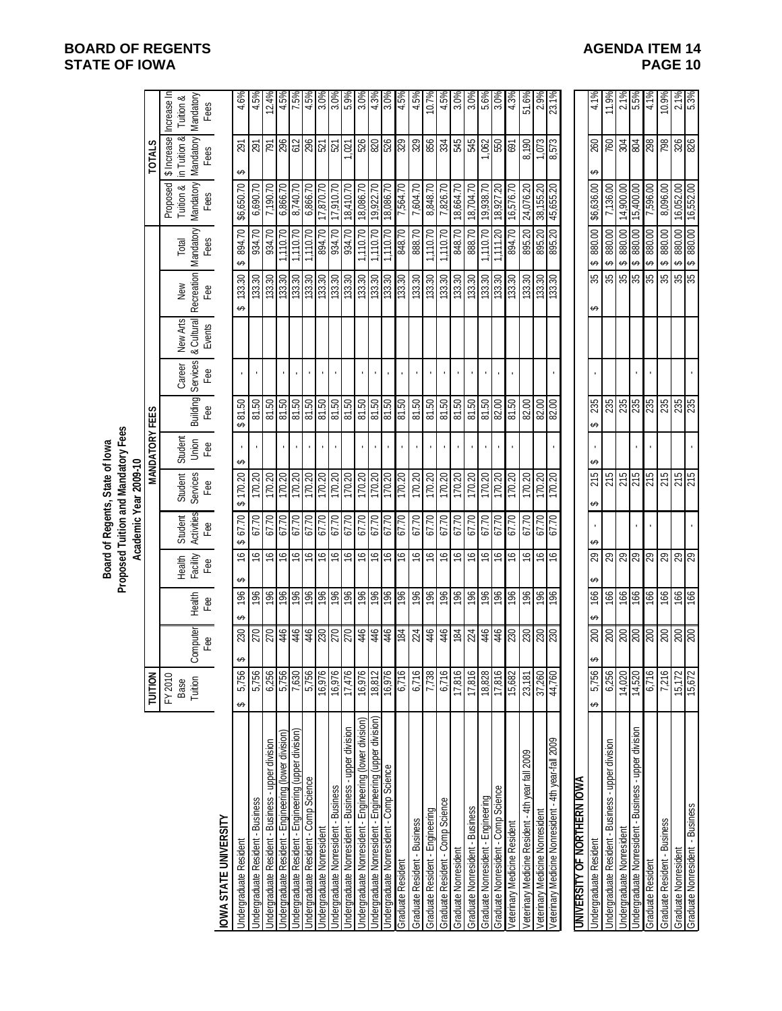|                                                          |                            |                      |                |                                           |                       | Board of Regents, State of lowa                              |                         |                 |                                          |                                  |                   |                    |                                    |                                                 |                                       |
|----------------------------------------------------------|----------------------------|----------------------|----------------|-------------------------------------------|-----------------------|--------------------------------------------------------------|-------------------------|-----------------|------------------------------------------|----------------------------------|-------------------|--------------------|------------------------------------|-------------------------------------------------|---------------------------------------|
|                                                          |                            |                      |                |                                           |                       | Proposed Tuition and Mandatory Fees<br>Academic Year 2009-10 |                         |                 |                                          |                                  |                   |                    |                                    |                                                 |                                       |
|                                                          | TUITION                    |                      |                |                                           |                       |                                                              | <b>MANDATORY FEES</b>   |                 |                                          |                                  |                   |                    |                                    | <b>TOTALS</b>                                   |                                       |
|                                                          | FY 2010<br>Base<br>Tuition | pmputer<br>Fee<br>රි | Health<br>Fee  | Facility<br>Health<br>Fee                 | Activities<br>Student | <b>Services</b><br>Student                                   | Student<br>Union<br>Fee |                 | Building Services  <br>Fee Fee<br>Career | & Cultural<br>Events<br>New Arts | Recreation<br>New | Mandatory<br>Total | Mandatory<br>Proposed<br>Tuition & | \$ Increase<br><b>Mandatory</b><br>in Tuition & | Increase In<br>Mandatory<br>Tuition & |
| OWA STATE UNIVERSITY                                     |                            |                      |                |                                           | Fee                   | Fee                                                          |                         |                 |                                          |                                  | Fee               | Fees               | Fees                               | Fees                                            | Fees                                  |
| <b>Indergraduate Resident</b>                            | 5,756<br>ക                 | 230<br>ഗ             | 196<br>ക       | $\frac{6}{5}$<br>↮                        | 67.70<br>ക            | \$170.20                                                     | ⊷                       | 81.50<br>ക      |                                          |                                  | 133.30<br>↮       | 894.70<br>ക        | \$6,650.70                         | 291<br>ഗ                                        | 4.6%                                  |
| Jndergraduate Resident - Business                        | 5,756                      | 270                  | 196            | 9                                         | 67.70                 | 170.20                                                       |                         | 81.50           |                                          |                                  | 133.30            | 934.70             | 6,690.70                           | 291                                             | 4.5%                                  |
| Jndergraduate Resident - Business - upper division       | 6,256                      | 270                  |                | $\widetilde{\mathfrak{S}}$                | 67.70                 | 170.20                                                       |                         | 81.50           |                                          |                                  | 133.30            | 934.70             | 7,190.70                           | 161                                             | 12.4%                                 |
| Indergraduate Resident - Engineering (lower division)    | 5,756                      | \$                   | $rac{36}{196}$ | $\frac{9}{2}$                             | 67.70                 | 170.20                                                       |                         | 81.50           |                                          |                                  | 133.30            | 1,110.70           | 6,866.70                           | 296                                             | 4.5%                                  |
| Indergraduate Resident - Engineering (upper division)    | 7,630                      | 446                  | 196            | $\frac{1}{2}$                             | 67.70                 | 170.20                                                       | $\blacksquare$          | 81.50           |                                          |                                  | 133.30<br>133.30  | 1,110.70           | 8,740.70                           | 612                                             | 7.5%                                  |
| Indergraduate Resident - Comp Science                    | 5,756                      | 446                  |                | $\frac{9}{2}$                             | 67.70                 | 170.20                                                       |                         | 81.50           |                                          |                                  |                   | 1,110.70           | 6,866.70                           | 296                                             | 4.5%                                  |
| ndergraduate Nonresident                                 | 16,976                     | 270                  | 196            | $\frac{1}{2}$                             | 67.70                 | 170.20                                                       | $\blacksquare$          | 81.50           |                                          |                                  | 133.30            | 02'168             | 17,870.70                          | $\frac{5}{2}$                                   | $\frac{3.0\%}{3.0\%}$                 |
| Indergraduate Nonresident - Business                     | 16,976                     |                      |                | 91                                        | 67.70                 | 170.20                                                       |                         | 81.50           |                                          |                                  |                   | 934.70             | 17,910.70                          |                                                 |                                       |
| Indergraduate Nonresident - Business - upper division    | 17,476                     | 270                  | 196            | 9                                         | 67.70                 | 170.20                                                       |                         | 81.50           |                                          |                                  | 133.30            | 934.70             | 18,410.70                          | 021                                             | 5.9%                                  |
| Indergraduate Nonresident - Engineering (lower division) | 16,976                     | 446                  | 196            | $\mathfrak{S}$                            | 67.70                 | 170.20                                                       |                         | 81.50           |                                          |                                  | 133.30<br>133.30  | 1,110.70           | 18,086.70                          | ន្លន្ត្រូន្ត្រូ                                 | 3.0%                                  |
| Indergraduate Nonresident - Engineering (upper division) | 18,812                     | 446                  | 196            | $\frac{9}{2}$                             | 67.70                 | 170.20                                                       |                         | 81.50           |                                          |                                  |                   | 1,110.70           | 19,922.70                          |                                                 | 4.3%                                  |
| Indergraduate Nonresident - Comp Science                 | 16,976                     | 446                  |                | $\frac{1}{2}$                             | 67.70                 | 170.20                                                       | $\blacksquare$          | 81.50           |                                          |                                  | 133.30            | 1,110.70           | 18,086.70                          |                                                 | 3.0%                                  |
| <b>Graduate Resident</b>                                 | 6,716                      | 184                  | 96             | 91                                        | 07.70                 | 170.20                                                       |                         | 81.50           |                                          |                                  | 133.30            | 848.70             | 7,564.70                           |                                                 | 4.5%                                  |
| Graduate Resident - Business                             | 6,716                      | 224                  | 196            | $\overline{\mathbf{e}}$                   | 67.70                 | 170.20                                                       |                         | 81.50           |                                          |                                  | 133.30            | 888.70             | 7,604.70                           | 329                                             | 4.5%                                  |
| Graduate Resident - Engineering                          | 7,738                      | 446                  | 196            | $\overline{\mathfrak{S}}$                 | 67.70                 | 170.20                                                       |                         | 81.50           |                                          |                                  | 133.30            | 1,110.70           | 8,848.70                           | 856                                             | 10.7%                                 |
| Graduate Resident - Comp Science                         | 6,716                      | 446                  | 196            | $\stackrel{\textstyle\circ}{\rightarrow}$ | 67.70                 | 170.20                                                       |                         | 81.50           |                                          |                                  | 133.30            | 1,110.70           | 7,826.70                           | 334                                             | 4.5%                                  |
| Graduate Nonresident                                     | 17,816                     | 184                  | 961            | $\mathfrak{g}$                            | 67.70                 | 170.20                                                       |                         | 81.50           |                                          |                                  | 133.30            | 848.70             | 18,664.70                          | 545                                             | 3.0%                                  |
| <b>Graduate Nonresident - Business</b>                   | 17,816                     | 224                  | 196            | $\overline{\mathbf{e}}$                   | 67.70                 | 170.20                                                       |                         | 81.50           |                                          |                                  | 133.30            | 888.70             | 18,704.70                          | 545                                             | 3.0%                                  |
| Graduate Nonresident - Engineering                       | 18,828                     | 446                  | 196            | $\frac{1}{2}$                             | 67.70                 | 170.20                                                       |                         | 81.50           |                                          |                                  | 133.30            | 1,110.70           | 19,938.70                          | ,062                                            | 5.6%                                  |
| Graduate Nonresident - Comp Science                      | 17,816                     | 446                  | 96             | 9                                         | 67.70                 | 170.20                                                       |                         | 82.00           |                                          |                                  | 133.30            | 1,111.20           | 18,927.20                          | 550                                             | $3.0\%$                               |
| eterinary Medicine Resident                              | 15,682                     | 082                  | 961            | 9)                                        | 67.70                 | 170.20                                                       |                         | 81.50           |                                          |                                  | 133.30            | 894.70             | 16,576.70                          | 691                                             | 4.3%                                  |
| eterinary Medicine Resident - 4th year fall 2009         | 23,181                     | 230                  | 196            | ې                                         | 67.70                 | 170.20                                                       |                         | 82.00           |                                          |                                  | 133.30            | 895.20             | 24,076.20                          | 8,190                                           | 51.6%                                 |
| eterinary Medicine Nonresident                           | 37,260                     | 230                  | 196            | $\frac{6}{5}$                             | 67.70                 | 170.20                                                       |                         | $\frac{80}{20}$ |                                          |                                  | 133.30<br>133.30  | 895.20             | 38,155.20                          | 1,073                                           | 2.9%                                  |
| eterinary Medicine Nonresident - 4th year-fall 2009      | 44,760                     | 230                  | 196            | ې                                         | 67.70                 | 170.20                                                       |                         |                 |                                          |                                  |                   |                    | 45,655.20                          | 8,573                                           | 23.1%                                 |
| <b>JNIVERSITY OF NORTHERN IOWA</b>                       |                            |                      |                |                                           |                       |                                                              |                         |                 |                                          |                                  |                   |                    |                                    |                                                 |                                       |
| <b>Jndergraduate Resident</b>                            | 5,756<br>↮                 | 200<br>↮             | 166            | $\mathbb{S}^2$<br>↮                       | ⇔                     | 215<br>↮                                                     |                         | 235<br>ക        |                                          |                                  | 35<br>↔           | 880.00<br>↮        | \$6,636.00                         | 260                                             | 4.1%                                  |
| Indergraduate Resident - Business - upper division       | 6,256                      | 002                  | 166            | 29                                        |                       | 215                                                          |                         | 235             |                                          |                                  | 35                | 880.00<br>↔        | 7,136.00                           | 760                                             | 11.9%                                 |
| Indergraduate Nonresident                                | 14,020                     | 200                  | 166            | ଅ $\overline{\mathcal{R}}$                |                       | 215                                                          |                         | <b>582</b>      |                                          |                                  | $\frac{25}{25}$   | 880.00<br>↮        | 14,900.00                          | <b>FOS</b>                                      | 2.1%                                  |
| Indergraduate Nonresident - Business - upper division    | 14,520                     | 002                  | 991            |                                           |                       | 215                                                          |                         | 235             |                                          |                                  |                   | 880.00<br>↔        | 15,400.00                          | 804                                             | 5.5%                                  |
| <b>Graduate Resident</b>                                 | 6,716                      | 200                  | 99             | ଅ $ 8 $                                   |                       | 215                                                          |                         | 235             |                                          |                                  | 35                | 880.00<br>↮        | 7,596.00                           | 298                                             | 4.1%                                  |
| Graduate Resident - Business                             | 7,216                      |                      | 166            |                                           |                       | 215                                                          |                         | 235             |                                          |                                  | 35                | 880.00<br>↔        | 8,096.00                           | 862                                             | 10.9%                                 |
| <b>Graduate Nonresident</b>                              | 15,172                     | $\frac{200}{200}$    | 166            | ଅ $\overline{\mathcal{R}}$                |                       | 215                                                          |                         | 235             |                                          |                                  | $\frac{35}{35}$   | 00.088 \$          | 16,052.00                          | $\frac{326}{226}$                               | $2.1\%$<br>5.3%                       |
| Graduate Nonresident - Business                          | 15,672                     |                      | 991            |                                           |                       |                                                              |                         |                 |                                          |                                  |                   |                    |                                    |                                                 |                                       |

# **BOARD OF REGENTS**<br> **BOARD OF REGENTS**<br> **BOARD OF IOWA**<br> **BOARD OF IOWA STATE OF IOWA**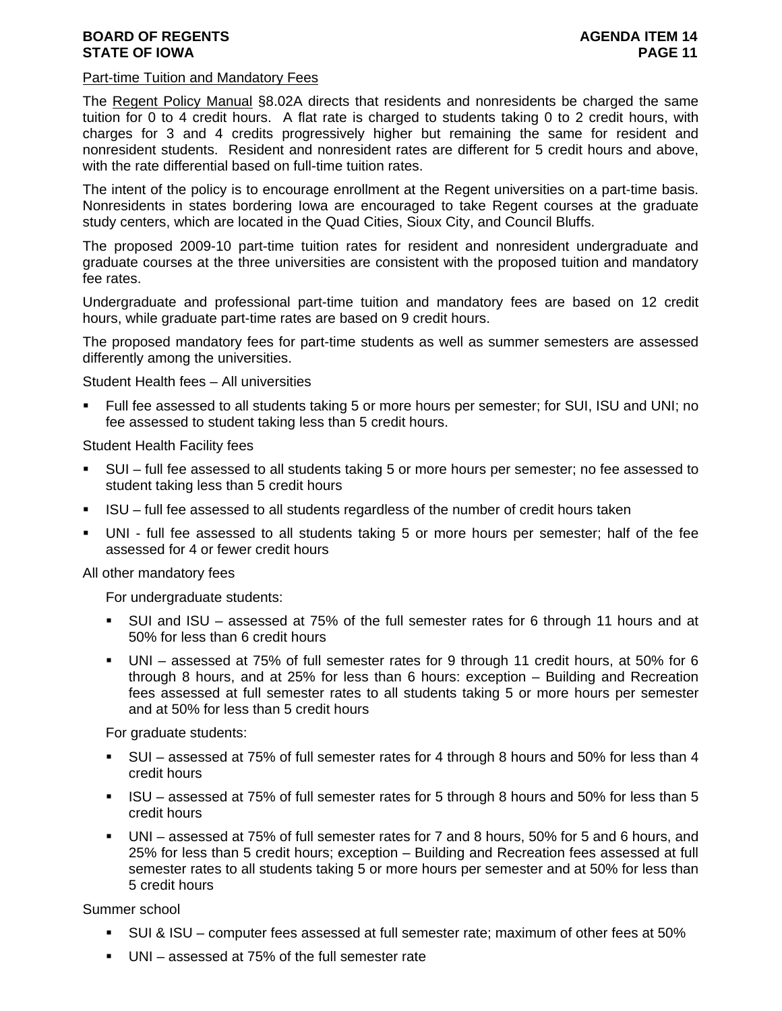# Part-time Tuition and Mandatory Fees

The Regent Policy Manual §8.02A directs that residents and nonresidents be charged the same tuition for 0 to 4 credit hours. A flat rate is charged to students taking 0 to 2 credit hours, with charges for 3 and 4 credits progressively higher but remaining the same for resident and nonresident students. Resident and nonresident rates are different for 5 credit hours and above, with the rate differential based on full-time tuition rates.

The intent of the policy is to encourage enrollment at the Regent universities on a part-time basis. Nonresidents in states bordering Iowa are encouraged to take Regent courses at the graduate study centers, which are located in the Quad Cities, Sioux City, and Council Bluffs.

The proposed 2009-10 part-time tuition rates for resident and nonresident undergraduate and graduate courses at the three universities are consistent with the proposed tuition and mandatory fee rates.

Undergraduate and professional part-time tuition and mandatory fees are based on 12 credit hours, while graduate part-time rates are based on 9 credit hours.

The proposed mandatory fees for part-time students as well as summer semesters are assessed differently among the universities.

Student Health fees – All universities

 Full fee assessed to all students taking 5 or more hours per semester; for SUI, ISU and UNI; no fee assessed to student taking less than 5 credit hours.

Student Health Facility fees

- SUI full fee assessed to all students taking 5 or more hours per semester; no fee assessed to student taking less than 5 credit hours
- ISU full fee assessed to all students regardless of the number of credit hours taken
- UNI full fee assessed to all students taking 5 or more hours per semester; half of the fee assessed for 4 or fewer credit hours

All other mandatory fees

For undergraduate students:

- SUI and ISU assessed at 75% of the full semester rates for 6 through 11 hours and at 50% for less than 6 credit hours
- UNI assessed at 75% of full semester rates for 9 through 11 credit hours, at 50% for 6 through 8 hours, and at 25% for less than 6 hours: exception – Building and Recreation fees assessed at full semester rates to all students taking 5 or more hours per semester and at 50% for less than 5 credit hours

For graduate students:

- SUI assessed at 75% of full semester rates for 4 through 8 hours and 50% for less than 4 credit hours
- ISU assessed at 75% of full semester rates for 5 through 8 hours and 50% for less than 5 credit hours
- UNI assessed at 75% of full semester rates for 7 and 8 hours, 50% for 5 and 6 hours, and 25% for less than 5 credit hours; exception – Building and Recreation fees assessed at full semester rates to all students taking 5 or more hours per semester and at 50% for less than 5 credit hours

Summer school

- SUI & ISU computer fees assessed at full semester rate; maximum of other fees at 50%
- UNI assessed at 75% of the full semester rate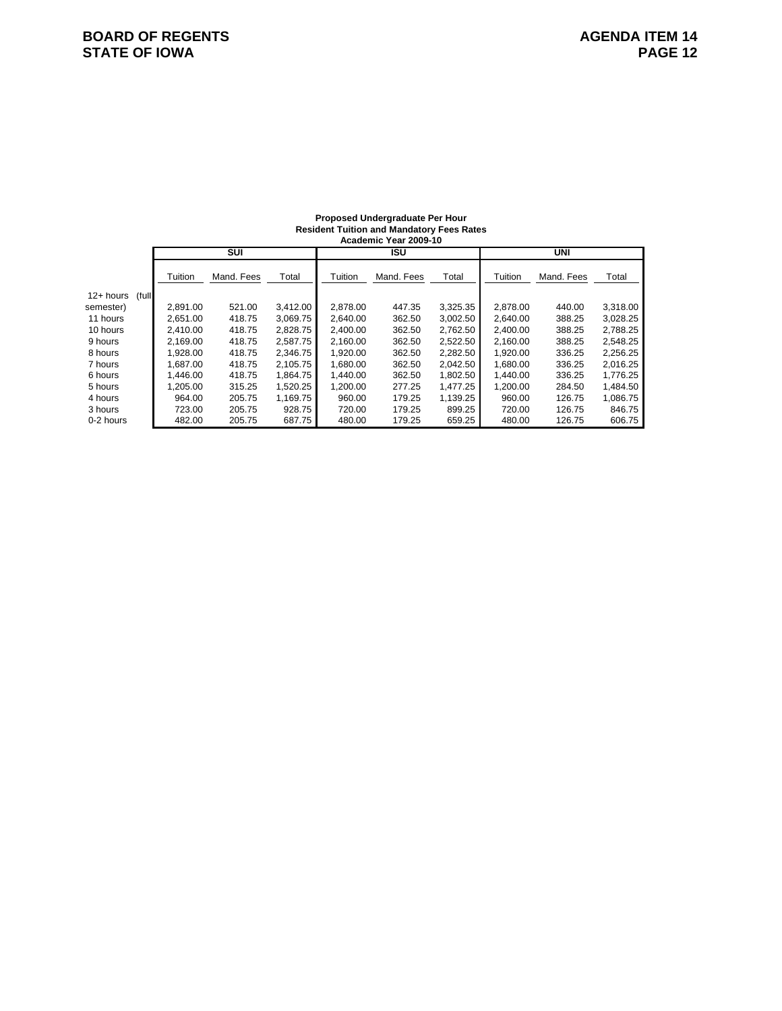#### **Proposed Undergraduate Per Hour Resident Tuition and Mandatory Fees Rates**

|                    |          |            |          |          | Academic Year 2009-10 |          |          |            |          |
|--------------------|----------|------------|----------|----------|-----------------------|----------|----------|------------|----------|
|                    |          | <b>SUI</b> |          |          | <b>ISU</b>            |          |          | UNI        |          |
|                    | Tuition  | Mand, Fees | Total    | Tuition  | Mand, Fees            | Total    | Tuition  | Mand, Fees | Total    |
| 12+ hours<br>(full |          |            |          |          |                       |          |          |            |          |
| semester)          | 2.891.00 | 521.00     | 3,412.00 | 2,878.00 | 447.35                | 3,325.35 | 2,878.00 | 440.00     | 3,318.00 |
| 11 hours           | 2.651.00 | 418.75     | 3.069.75 | 2.640.00 | 362.50                | 3.002.50 | 2.640.00 | 388.25     | 3,028.25 |
| 10 hours           | 2.410.00 | 418.75     | 2,828.75 | 2,400.00 | 362.50                | 2,762.50 | 2,400.00 | 388.25     | 2,788.25 |
| 9 hours            | 2.169.00 | 418.75     | 2.587.75 | 2,160.00 | 362.50                | 2,522.50 | 2,160.00 | 388.25     | 2,548.25 |
| 8 hours            | 1.928.00 | 418.75     | 2.346.75 | 1.920.00 | 362.50                | 2,282.50 | 1.920.00 | 336.25     | 2,256.25 |
| 7 hours            | 1.687.00 | 418.75     | 2.105.75 | 1.680.00 | 362.50                | 2,042.50 | 1,680.00 | 336.25     | 2,016.25 |
| 6 hours            | 1.446.00 | 418.75     | 1.864.75 | 1.440.00 | 362.50                | 1,802.50 | 1,440.00 | 336.25     | 1,776.25 |
| 5 hours            | 1.205.00 | 315.25     | 1.520.25 | 1.200.00 | 277.25                | 1.477.25 | 1.200.00 | 284.50     | 1.484.50 |
| 4 hours            | 964.00   | 205.75     | 1.169.75 | 960.00   | 179.25                | 1,139.25 | 960.00   | 126.75     | 1,086.75 |
| 3 hours            | 723.00   | 205.75     | 928.75   | 720.00   | 179.25                | 899.25   | 720.00   | 126.75     | 846.75   |
| 0-2 hours          | 482.00   | 205.75     | 687.75   | 480.00   | 179.25                | 659.25   | 480.00   | 126.75     | 606.75   |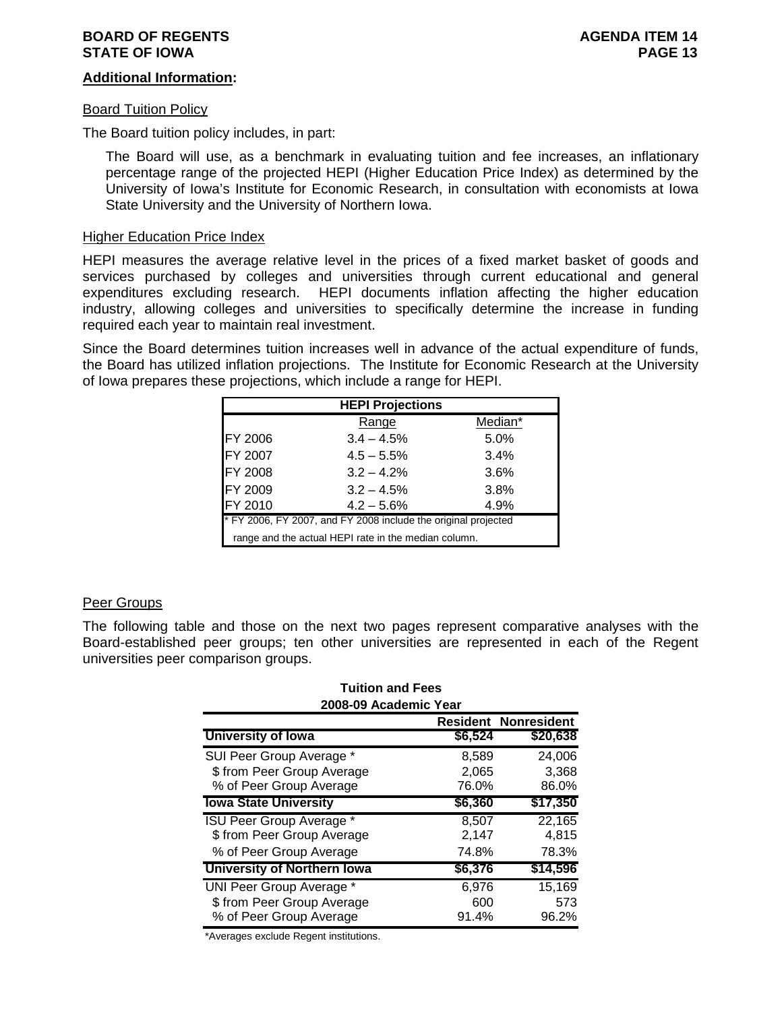# **Additional Information:**

#### Board Tuition Policy

The Board tuition policy includes, in part:

The Board will use, as a benchmark in evaluating tuition and fee increases, an inflationary percentage range of the projected HEPI (Higher Education Price Index) as determined by the University of Iowa's Institute for Economic Research, in consultation with economists at Iowa State University and the University of Northern Iowa.

# Higher Education Price Index

HEPI measures the average relative level in the prices of a fixed market basket of goods and services purchased by colleges and universities through current educational and general expenditures excluding research. HEPI documents inflation affecting the higher education industry, allowing colleges and universities to specifically determine the increase in funding required each year to maintain real investment.

Since the Board determines tuition increases well in advance of the actual expenditure of funds, the Board has utilized inflation projections. The Institute for Economic Research at the University of Iowa prepares these projections, which include a range for HEPI.

|                | <b>HEPI Projections</b>                                        |         |
|----------------|----------------------------------------------------------------|---------|
|                | Range                                                          | Median* |
| <b>FY 2006</b> | $3.4 - 4.5%$                                                   | 5.0%    |
| <b>FY 2007</b> | $4.5 - 5.5%$                                                   | 3.4%    |
| <b>FY 2008</b> | $3.2 - 4.2%$                                                   | 3.6%    |
| <b>FY 2009</b> | $3.2 - 4.5%$                                                   | 3.8%    |
| FY 2010        | $4.2 - 5.6%$                                                   | 4.9%    |
|                | * FY 2006, FY 2007, and FY 2008 include the original projected |         |
|                | range and the actual HEPI rate in the median column.           |         |

# Peer Groups

The following table and those on the next two pages represent comparative analyses with the Board-established peer groups; ten other universities are represented in each of the Regent universities peer comparison groups.

| <b>Tuition and Fees</b>         |         |                             |
|---------------------------------|---------|-----------------------------|
| 2008-09 Academic Year           |         |                             |
|                                 |         | <b>Resident Nonresident</b> |
| <b>University of lowa</b>       | \$6,524 | \$20,638                    |
| SUI Peer Group Average *        | 8,589   | 24,006                      |
| \$ from Peer Group Average      | 2,065   | 3,368                       |
| % of Peer Group Average         | 76.0%   | 86.0%                       |
| <b>Iowa State University</b>    | \$6,360 | \$17,350                    |
| <b>ISU Peer Group Average *</b> | 8,507   | 22,165                      |
| \$ from Peer Group Average      | 2,147   | 4,815                       |
| % of Peer Group Average         | 74.8%   | 78.3%                       |
| University of Northern Iowa     | \$6,376 | \$14,596                    |
| <b>UNI Peer Group Average *</b> | 6,976   | 15,169                      |
| \$ from Peer Group Average      | 600     | 573                         |
| % of Peer Group Average         | 91.4%   | 96.2%                       |

\*Averages exclude Regent institutions.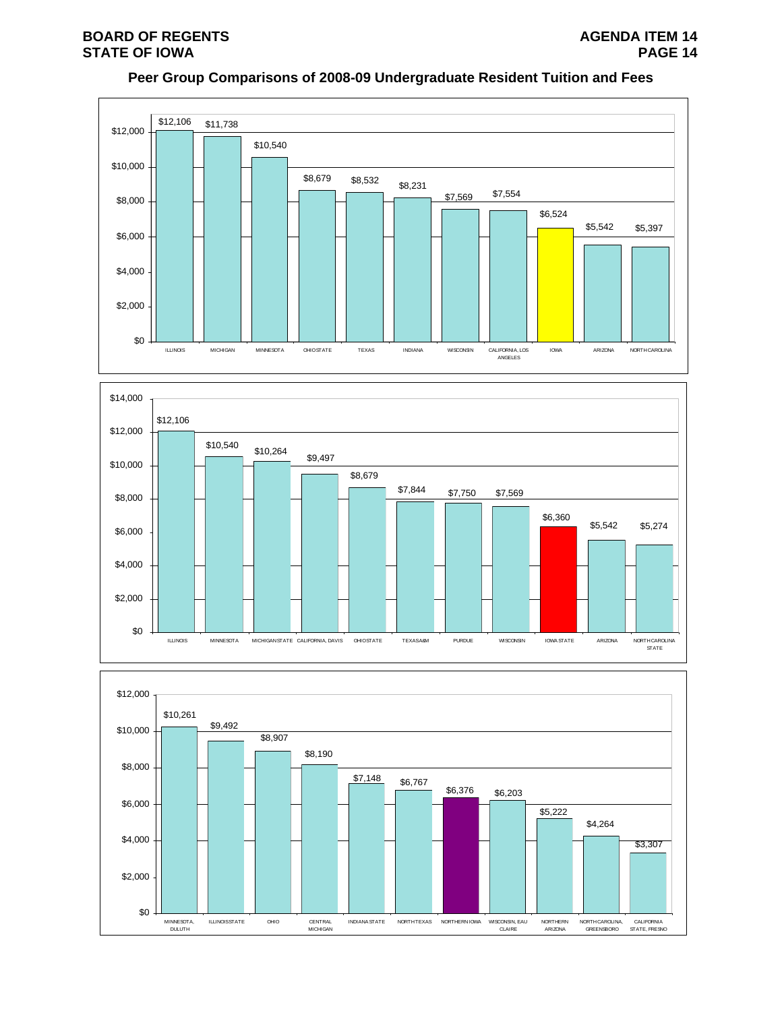# **BOARD OF REGENTS**<br> **BOARD OF REGENTS**<br> **STATE OF IOWA STATE OF IOWA**

# **Peer Group Comparisons of 2008-09 Undergraduate Resident Tuition and Fees**





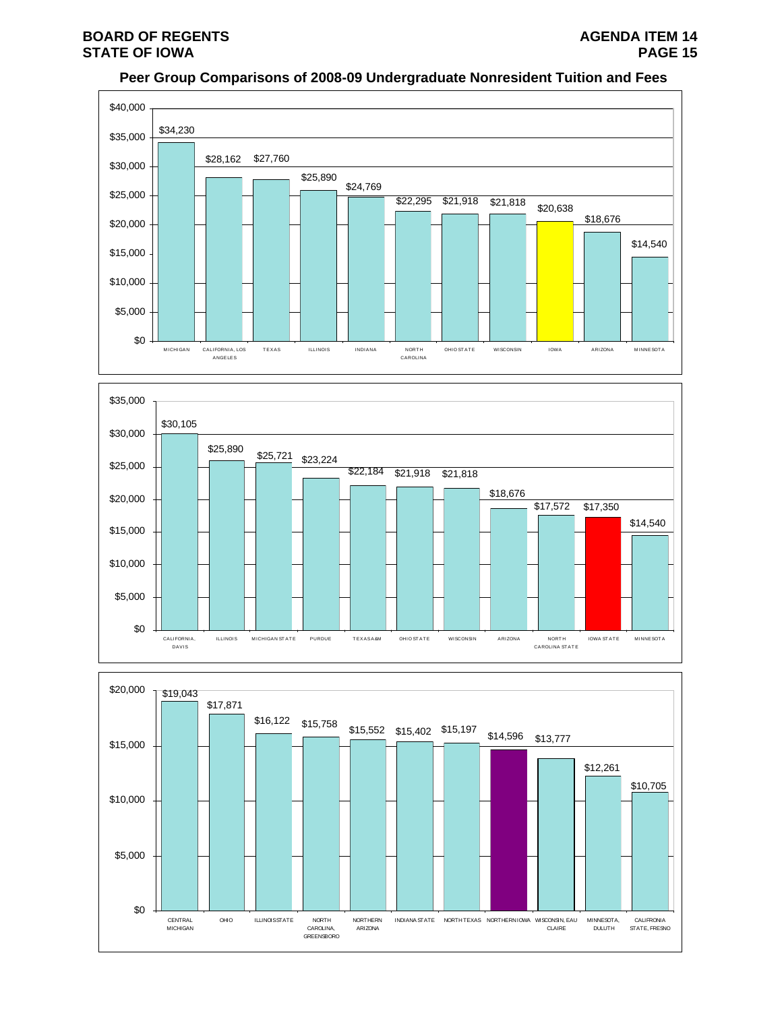# **Peer Group Comparisons of 2008-09 Undergraduate Nonresident Tuition and Fees**